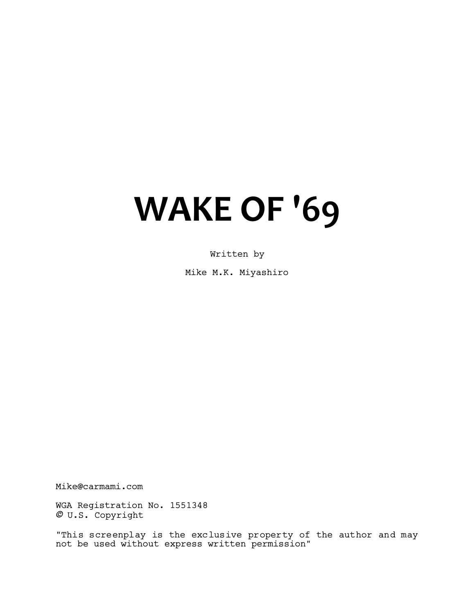# **WAKE OF '69**

Written by

Mike M.K. Miyashiro

Mike@carmami.com

WGA Registration No. 1551348 *©* U.S. Copyright

"This screenplay is the exclusive property of the author and may not be used without express written permission"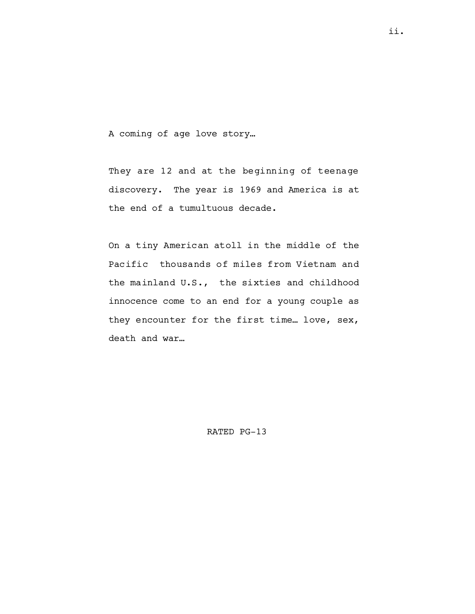A coming of age love story…

They are 12 and at the beginning of teenage discovery. The year is 1969 and America is at the end of a tumultuous decade.

On a tiny American atoll in the middle of the Pacific thousands of miles from Vietnam and the mainland U.S., the sixties and childhood innocence come to an end for a young couple as they encounter for the first time… love, sex, death and war…

RATED PG-13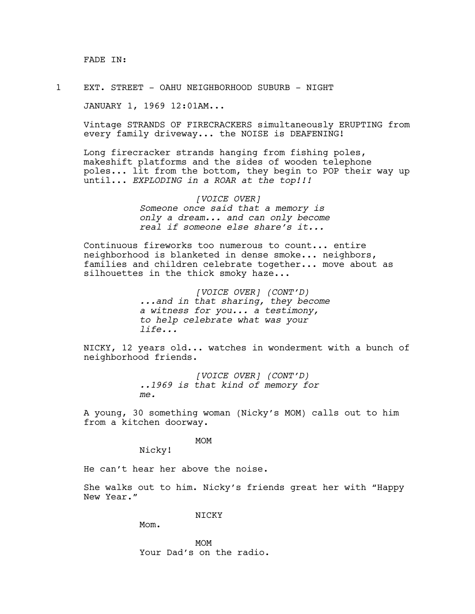FADE IN:

1 EXT. STREET - OAHU NEIGHBORHOOD SUBURB - NIGHT

JANUARY 1, 1969 12:01AM...

Vintage STRANDS OF FIRECRACKERS simultaneously ERUPTING from every family driveway... the NOISE is DEAFENING!

Long firecracker strands hanging from fishing poles, makeshift platforms and the sides of wooden telephone poles... lit from the bottom, they begin to POP their way up until... *EXPLODING in a ROAR at the top!!!* 

> *[VOICE OVER] Someone once said that a memory is only a dream... and can only become real if someone else share's it...*

Continuous fireworks too numerous to count... entire neighborhood is blanketed in dense smoke... neighbors, families and children celebrate together... move about as silhouettes in the thick smoky haze...

> *[VOICE OVER] (CONT'D) ...and in that sharing, they become a witness for you... a testimony, to help celebrate what was your life...*

NICKY, 12 years old... watches in wonderment with a bunch of neighborhood friends.

> *[VOICE OVER] (CONT'D) ..1969 is that kind of memory for me.*

A young, 30 something woman (Nicky's MOM) calls out to him from a kitchen doorway.

MOM

Nicky!

He can't hear her above the noise.

She walks out to him. Nicky's friends great her with "Happy New Year."

NICKY

Mom.

MOM Your Dad's on the radio.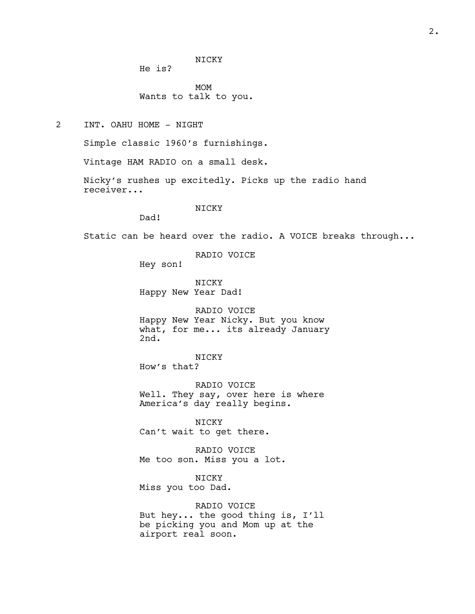NICKY

He is?

MOM Wants to talk to you.

2 INT. OAHU HOME - NIGHT

Simple classic 1960's furnishings.

Vintage HAM RADIO on a small desk.

Nicky's rushes up excitedly. Picks up the radio hand receiver...

#### NICKY

Dad!

Static can be heard over the radio. A VOICE breaks through...

RADIO VOICE

Hey son!

NICKY Happy New Year Dad!

RADIO VOICE Happy New Year Nicky. But you know what, for me... its already January 2nd.

NICKY How's that?

RADIO VOICE Well. They say, over here is where America's day really begins.

NICKY Can't wait to get there.

RADIO VOICE Me too son. Miss you a lot.

NICKY Miss you too Dad.

RADIO VOICE But hey... the good thing is, I'll be picking you and Mom up at the airport real soon.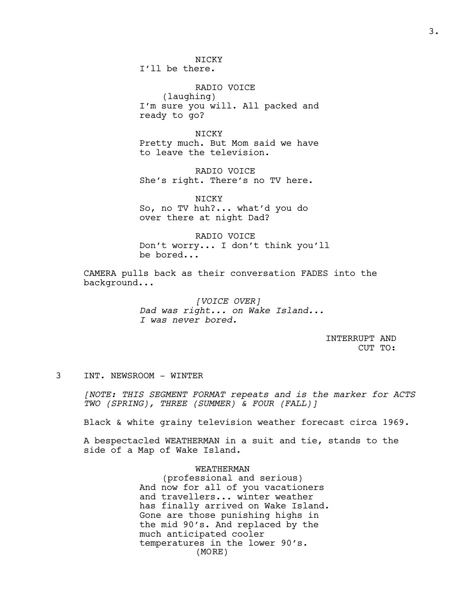NICKY I'll be there.

RADIO VOICE (laughing) I'm sure you will. All packed and ready to go?

**NTCKY** Pretty much. But Mom said we have to leave the television.

RADIO VOICE She's right. There's no TV here.

**NTCKY** So, no TV huh?... what'd you do over there at night Dad?

RADIO VOICE Don't worry... I don't think you'll be bored...

CAMERA pulls back as their conversation FADES into the background...

> *[VOICE OVER] Dad was right... on Wake Island... I was never bored.*

> > INTERRUPT AND CUT TO:

3 INT. NEWSROOM - WINTER

*[NOTE: THIS SEGMENT FORMAT repeats and is the marker for ACTS TWO (SPRING), THREE (SUMMER) & FOUR (FALL)]*

Black & white grainy television weather forecast circa 1969.

A bespectacled WEATHERMAN in a suit and tie, stands to the side of a Map of Wake Island.

#### WEATHERMAN

(professional and serious) And now for all of you vacationers and travellers... winter weather has finally arrived on Wake Island. Gone are those punishing highs in the mid 90's. And replaced by the much anticipated cooler temperatures in the lower 90's. (MORE)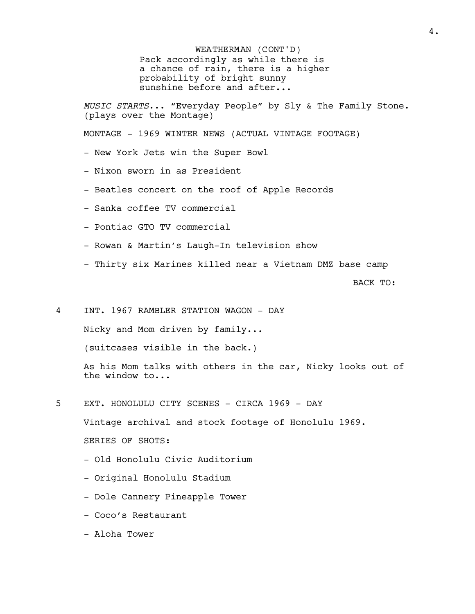Pack accordingly as while there is a chance of rain, there is a higher probability of bright sunny sunshine before and after... WEATHERMAN (CONT'D)

*MUSIC STARTS*... "Everyday People" by Sly & The Family Stone. (plays over the Montage)

MONTAGE - 1969 WINTER NEWS (ACTUAL VINTAGE FOOTAGE)

- New York Jets win the Super Bowl
- Nixon sworn in as President
- Beatles concert on the roof of Apple Records
- Sanka coffee TV commercial
- Pontiac GTO TV commercial
- Rowan & Martin's Laugh-In television show
- Thirty six Marines killed near a Vietnam DMZ base camp

BACK TO:

4 INT. 1967 RAMBLER STATION WAGON - DAY

Nicky and Mom driven by family...

(suitcases visible in the back.)

As his Mom talks with others in the car, Nicky looks out of the window to...

5 EXT. HONOLULU CITY SCENES - CIRCA 1969 - DAY

Vintage archival and stock footage of Honolulu 1969.

SERIES OF SHOTS:

- Old Honolulu Civic Auditorium
- Original Honolulu Stadium
- Dole Cannery Pineapple Tower
- Coco's Restaurant
- Aloha Tower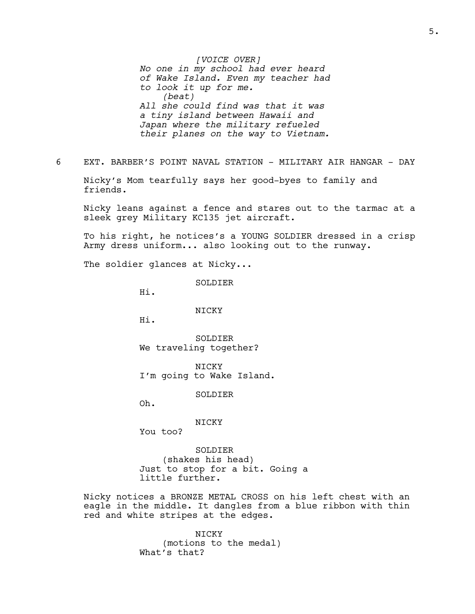*[VOICE OVER] No one in my school had ever heard of Wake Island. Even my teacher had to look it up for me. (beat) All she could find was that it was a tiny island between Hawaii and Japan where the military refueled their planes on the way to Vietnam.*

6 EXT. BARBER'S POINT NAVAL STATION - MILITARY AIR HANGAR - DAY

Nicky's Mom tearfully says her good-byes to family and friends.

Nicky leans against a fence and stares out to the tarmac at a sleek grey Military KC135 jet aircraft.

To his right, he notices's a YOUNG SOLDIER dressed in a crisp Army dress uniform... also looking out to the runway.

The soldier glances at Nicky...

SOLDIER

Hi.

NICKY

Hi.

**SOLDIER** We traveling together?

NICKY I'm going to Wake Island.

SOLDIER

Oh.

NICKY

You too?

SOLDIER (shakes his head) Just to stop for a bit. Going a little further.

Nicky notices a BRONZE METAL CROSS on his left chest with an eagle in the middle. It dangles from a blue ribbon with thin red and white stripes at the edges.

> NICKY (motions to the medal) What's that?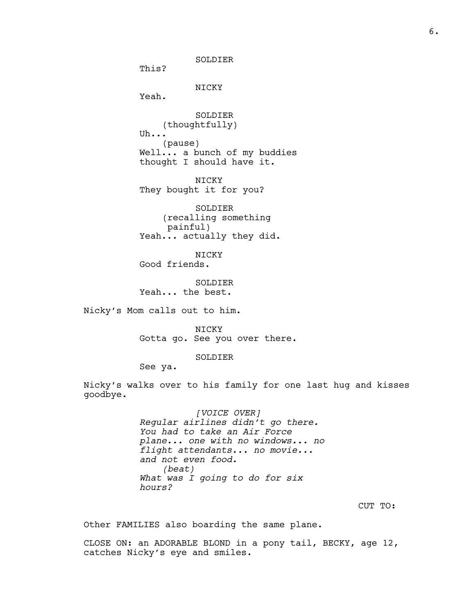SOLDIER This? NICKY Yeah. SOLDIER (thoughtfully) Uh... (pause) Well... a bunch of my buddies thought I should have it. NICKY They bought it for you? SOLDIER (recalling something painful) Yeah... actually they did. NICKY Good friends. SOLDIER Yeah... the best. Nicky's Mom calls out to him. NICKY Gotta go. See you over there. SOLDIER See ya. Nicky's walks over to his family for one last hug and kisses *[VOICE OVER] Regular airlines didn't go there. You had to take an Air Force plane... one with no windows... no flight attendants... no movie... and not even food. (beat)*

CUT TO:

Other FAMILIES also boarding the same plane.

*hours?*

*What was I going to do for six* 

goodbye.

CLOSE ON: an ADORABLE BLOND in a pony tail, BECKY, age 12, catches Nicky's eye and smiles.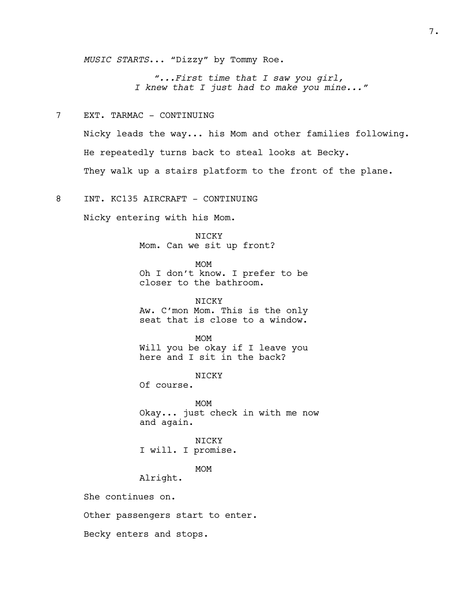*MUSIC STARTS*... "Dizzy" by Tommy Roe.

*"...First time that I saw you girl, I knew that I just had to make you mine..."*

7 EXT. TARMAC - CONTINUING

Nicky leads the way... his Mom and other families following. He repeatedly turns back to steal looks at Becky. They walk up a stairs platform to the front of the plane.

8 INT. KC135 AIRCRAFT - CONTINUING

Nicky entering with his Mom.

**NTCKY** Mom. Can we sit up front?

MOM Oh I don't know. I prefer to be closer to the bathroom.

**NTCKY** Aw. C'mon Mom. This is the only seat that is close to a window.

MOM Will you be okay if I leave you here and I sit in the back?

NICKY Of course.

MOM Okay... just check in with me now and again.

NICKY I will. I promise.

MOM

Alright.

She continues on.

Other passengers start to enter.

Becky enters and stops.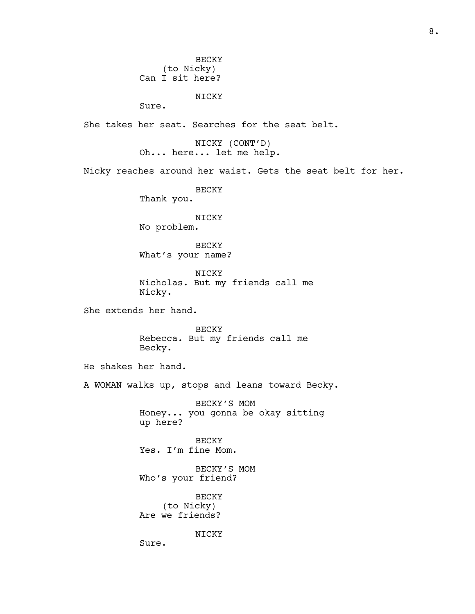BECKY (to Nicky) Can I sit here?

# NICKY

Sure.

She takes her seat. Searches for the seat belt. NICKY (CONT'D) Oh... here... let me help. Nicky reaches around her waist. Gets the seat belt for her. BECKY Thank you. NICKY No problem. BECKY What's your name? NICKY Nicholas. But my friends call me Nicky. She extends her hand. BECKY Rebecca. But my friends call me Becky. He shakes her hand. A WOMAN walks up, stops and leans toward Becky. BECKY'S MOM Honey... you gonna be okay sitting up here? **BECKY** Yes. I'm fine Mom. BECKY'S MOM Who's your friend? BECKY (to Nicky) Are we friends? NICKY Sure.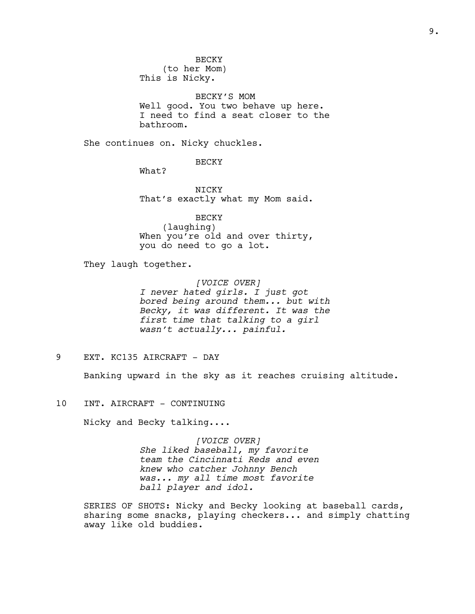BECKY

(to her Mom) This is Nicky.

BECKY'S MOM Well good. You two behave up here. I need to find a seat closer to the bathroom.

She continues on. Nicky chuckles.

BECKY

What?

NICKY That's exactly what my Mom said.

BECKY (laughing) When you're old and over thirty, you do need to go a lot.

They laugh together.

*[VOICE OVER] I never hated girls. I just got bored being around them... but with Becky, it was different. It was the first time that talking to a girl wasn't actually... painful.*

9 EXT. KC135 AIRCRAFT - DAY

Banking upward in the sky as it reaches cruising altitude.

10 INT. AIRCRAFT - CONTINUING

Nicky and Becky talking....

*[VOICE OVER] She liked baseball, my favorite team the Cincinnati Reds and even knew who catcher Johnny Bench was... my all time most favorite ball player and idol.*

SERIES OF SHOTS: Nicky and Becky looking at baseball cards, sharing some snacks, playing checkers... and simply chatting away like old buddies.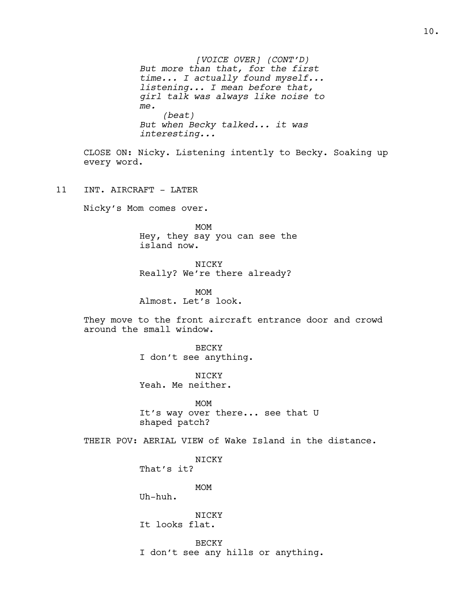*[VOICE OVER] (CONT'D) But more than that, for the first time... I actually found myself... listening... I mean before that, girl talk was always like noise to me. (beat) But when Becky talked... it was interesting...*

CLOSE ON: Nicky. Listening intently to Becky. Soaking up every word.

11 INT. AIRCRAFT - LATER

Nicky's Mom comes over.

MOM Hey, they say you can see the island now.

NICKY Really? We're there already?

MOM Almost. Let's look.

They move to the front aircraft entrance door and crowd around the small window.

> BECKY I don't see anything.

NICKY Yeah. Me neither.

MOM It's way over there... see that U shaped patch?

THEIR POV: AERIAL VIEW of Wake Island in the distance.

NICKY That's it?

MOM

Uh-huh.

NICKY It looks flat.

**BECKY** I don't see any hills or anything.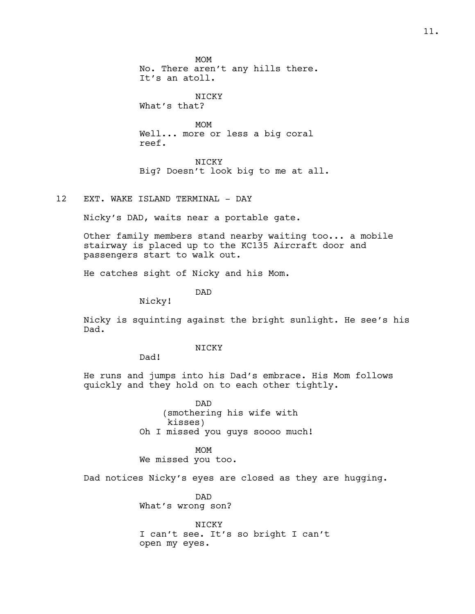MOM No. There aren't any hills there. It's an atoll.

**NTCKY** What's that?

MOM Well... more or less a big coral reef.

NICKY Big? Doesn't look big to me at all.

## 12 EXT. WAKE ISLAND TERMINAL - DAY

Nicky's DAD, waits near a portable gate.

Other family members stand nearby waiting too... a mobile stairway is placed up to the KC135 Aircraft door and passengers start to walk out.

He catches sight of Nicky and his Mom.

DAD

Nicky!

Nicky is squinting against the bright sunlight. He see's his Dad.

# NICKY

Dad!

He runs and jumps into his Dad's embrace. His Mom follows quickly and they hold on to each other tightly.

> DAD (smothering his wife with kisses) Oh I missed you guys soooo much!

MOM We missed you too.

Dad notices Nicky's eyes are closed as they are hugging.

DAD What's wrong son?

NICKY I can't see. It's so bright I can't open my eyes.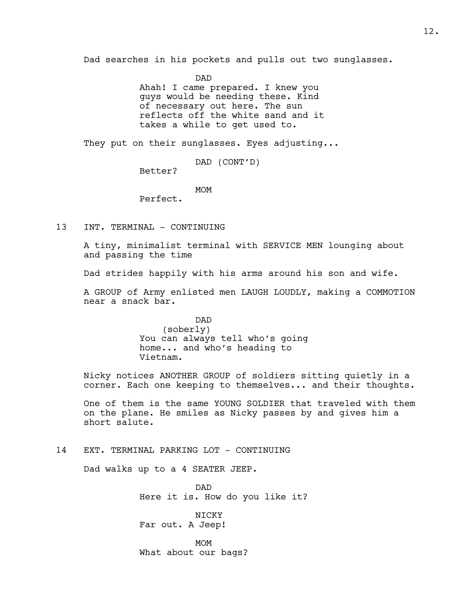Dad searches in his pockets and pulls out two sunglasses.

DAD Ahah! I came prepared. I knew you guys would be needing these. Kind of necessary out here. The sun reflects off the white sand and it takes a while to get used to.

They put on their sunglasses. Eyes adjusting...

DAD (CONT'D)

Better?

MOM

Perfect.

13 INT. TERMINAL - CONTINUING

A tiny, minimalist terminal with SERVICE MEN lounging about and passing the time

Dad strides happily with his arms around his son and wife.

A GROUP of Army enlisted men LAUGH LOUDLY, making a COMMOTION near a snack bar.

> DAD (soberly) You can always tell who's going home... and who's heading to Vietnam.

Nicky notices ANOTHER GROUP of soldiers sitting quietly in a corner. Each one keeping to themselves... and their thoughts.

One of them is the same YOUNG SOLDIER that traveled with them on the plane. He smiles as Nicky passes by and gives him a short salute.

14 EXT. TERMINAL PARKING LOT - CONTINUING

Dad walks up to a 4 SEATER JEEP.

DAD Here it is. How do you like it?

NICKY Far out. A Jeep!

MOM What about our bags?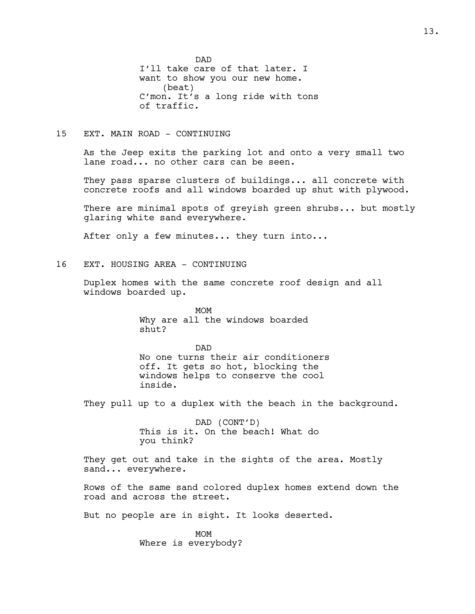DAD I'll take care of that later. I want to show you our new home. (beat) C'mon. It's a long ride with tons of traffic.

# 15 EXT. MAIN ROAD - CONTINUING

As the Jeep exits the parking lot and onto a very small two lane road... no other cars can be seen.

They pass sparse clusters of buildings... all concrete with concrete roofs and all windows boarded up shut with plywood.

There are minimal spots of greyish green shrubs... but mostly glaring white sand everywhere.

After only a few minutes... they turn into...

# 16 EXT. HOUSING AREA - CONTINUING

Duplex homes with the same concrete roof design and all windows boarded up.

> MOM Why are all the windows boarded shut?

DAD No one turns their air conditioners off. It gets so hot, blocking the windows helps to conserve the cool inside.

They pull up to a duplex with the beach in the background.

DAD (CONT'D) This is it. On the beach! What do you think?

They get out and take in the sights of the area. Mostly sand... everywhere.

Rows of the same sand colored duplex homes extend down the road and across the street.

But no people are in sight. It looks deserted.

MOM Where is everybody?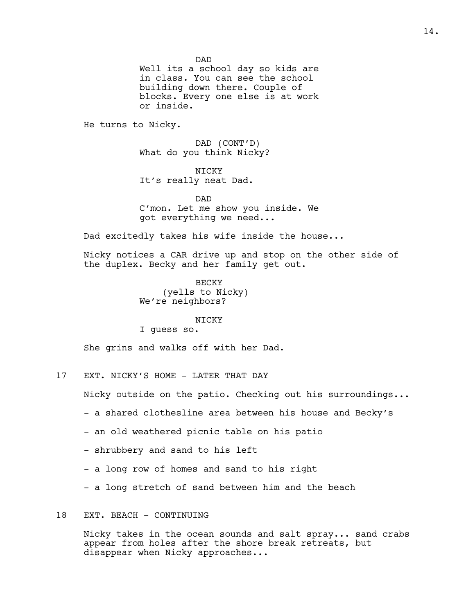DAD

Well its a school day so kids are in class. You can see the school building down there. Couple of blocks. Every one else is at work or inside.

He turns to Nicky.

DAD (CONT'D) What do you think Nicky?

NICKY It's really neat Dad.

DAD C'mon. Let me show you inside. We got everything we need...

Dad excitedly takes his wife inside the house...

Nicky notices a CAR drive up and stop on the other side of the duplex. Becky and her family get out.

> BECKY (yells to Nicky) We're neighbors?

# NICKY

I guess so.

She grins and walks off with her Dad.

17 EXT. NICKY'S HOME - LATER THAT DAY

Nicky outside on the patio. Checking out his surroundings...

- a shared clothesline area between his house and Becky's
- an old weathered picnic table on his patio
- shrubbery and sand to his left
- a long row of homes and sand to his right
- a long stretch of sand between him and the beach

## 18 EXT. BEACH - CONTINUING

Nicky takes in the ocean sounds and salt spray... sand crabs appear from holes after the shore break retreats, but disappear when Nicky approaches...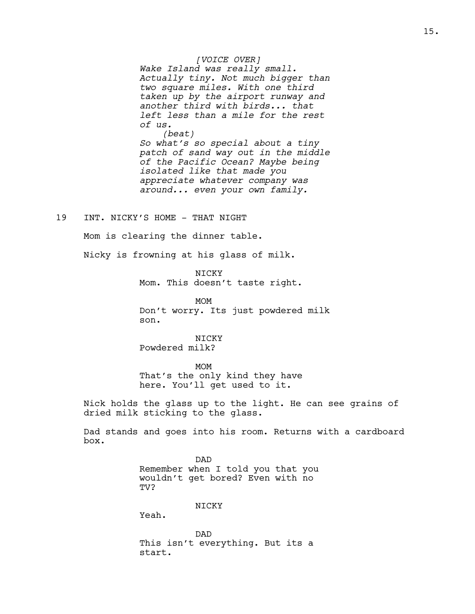*[VOICE OVER] Wake Island was really small. Actually tiny. Not much bigger than two square miles. With one third taken up by the airport runway and another third with birds... that left less than a mile for the rest of us. (beat) So what's so special about a tiny patch of sand way out in the middle* 

*of the Pacific Ocean? Maybe being isolated like that made you appreciate whatever company was around... even your own family.*

19 INT. NICKY'S HOME - THAT NIGHT

Mom is clearing the dinner table.

Nicky is frowning at his glass of milk.

NICKY Mom. This doesn't taste right.

MOM Don't worry. Its just powdered milk son.

**NTCKY** Powdered milk?

MOM That's the only kind they have here. You'll get used to it.

Nick holds the glass up to the light. He can see grains of dried milk sticking to the glass.

Dad stands and goes into his room. Returns with a cardboard box.

> DAD Remember when I told you that you wouldn't get bored? Even with no TV?

> > NICKY

Yeah.

DAD This isn't everything. But its a start.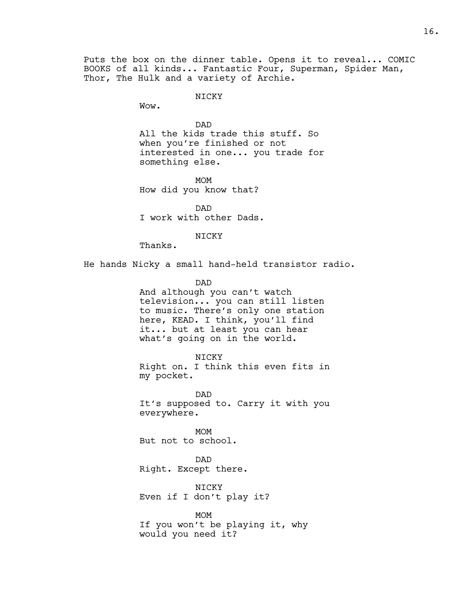Puts the box on the dinner table. Opens it to reveal... COMIC BOOKS of all kinds... Fantastic Four, Superman, Spider Man, Thor, The Hulk and a variety of Archie.

NICKY

Wow.

DAD All the kids trade this stuff. So when you're finished or not interested in one... you trade for something else.

MOM How did you know that?

DAD I work with other Dads.

**NTCKY** 

Thanks.

He hands Nicky a small hand-held transistor radio.

DAD

And although you can't watch television... you can still listen to music. There's only one station here, KEAD. I think, you'll find it... but at least you can hear what's going on in the world.

NICKY

Right on. I think this even fits in my pocket.

DAD It's supposed to. Carry it with you everywhere.

MOM But not to school.

DAD Right. Except there.

NICKY Even if I don't play it?

MOM If you won't be playing it, why would you need it?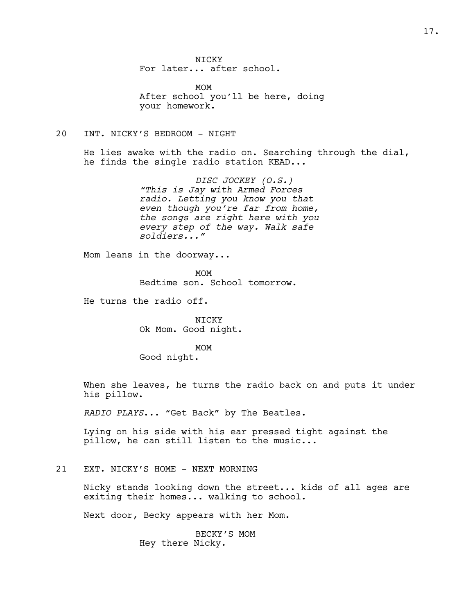NICKY For later... after school.

MOM After school you'll be here, doing your homework.

# 20 INT. NICKY'S BEDROOM - NIGHT

He lies awake with the radio on. Searching through the dial, he finds the single radio station KEAD...

> *DISC JOCKEY (O.S.) "This is Jay with Armed Forces radio. Letting you know you that even though you're far from home, the songs are right here with you every step of the way. Walk safe soldiers..."*

Mom leans in the doorway...

MOM Bedtime son. School tomorrow.

He turns the radio off.

NICKY Ok Mom. Good night.

MOM Good night.

When she leaves, he turns the radio back on and puts it under his pillow.

*RADIO PLAYS*... "Get Back" by The Beatles.

Lying on his side with his ear pressed tight against the pillow, he can still listen to the music...

# 21 EXT. NICKY'S HOME - NEXT MORNING

Nicky stands looking down the street... kids of all ages are exiting their homes... walking to school.

Next door, Becky appears with her Mom.

BECKY'S MOM Hey there Nicky.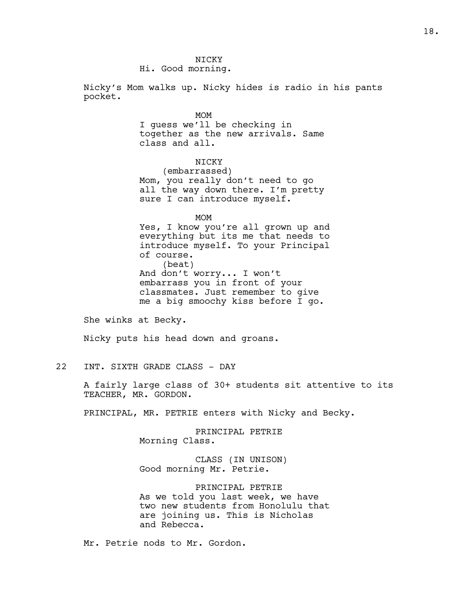#### NICKY

Hi. Good morning.

Nicky's Mom walks up. Nicky hides is radio in his pants pocket.

> MOM I guess we'll be checking in together as the new arrivals. Same class and all.

# NICKY

(embarrassed) Mom, you really don't need to go all the way down there. I'm pretty sure I can introduce myself.

MOM Yes, I know you're all grown up and everything but its me that needs to introduce myself. To your Principal of course. (beat) And don't worry... I won't embarrass you in front of your classmates. Just remember to give me a big smoochy kiss before I go.

She winks at Becky.

Nicky puts his head down and groans.

# 22 INT. SIXTH GRADE CLASS - DAY

A fairly large class of 30+ students sit attentive to its TEACHER, MR. GORDON.

PRINCIPAL, MR. PETRIE enters with Nicky and Becky.

PRINCIPAL PETRIE Morning Class.

CLASS (IN UNISON) Good morning Mr. Petrie.

PRINCIPAL PETRIE As we told you last week, we have two new students from Honolulu that are joining us. This is Nicholas and Rebecca.

Mr. Petrie nods to Mr. Gordon.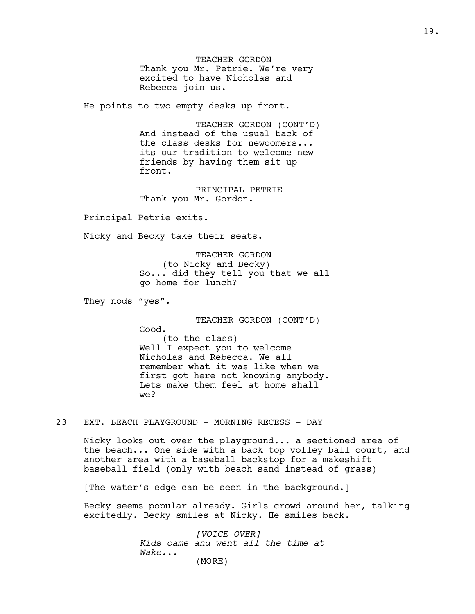TEACHER GORDON Thank you Mr. Petrie. We're very excited to have Nicholas and Rebecca join us.

He points to two empty desks up front.

TEACHER GORDON (CONT'D) And instead of the usual back of the class desks for newcomers... its our tradition to welcome new friends by having them sit up front.

PRINCIPAL PETRIE Thank you Mr. Gordon.

Principal Petrie exits.

Nicky and Becky take their seats.

TEACHER GORDON (to Nicky and Becky) So... did they tell you that we all go home for lunch?

They nods "yes".

TEACHER GORDON (CONT'D) Good. (to the class) Well I expect you to welcome Nicholas and Rebecca. We all remember what it was like when we first got here not knowing anybody. Lets make them feel at home shall we?

23 EXT. BEACH PLAYGROUND - MORNING RECESS - DAY

Nicky looks out over the playground... a sectioned area of the beach... One side with a back top volley ball court, and another area with a baseball backstop for a makeshift baseball field (only with beach sand instead of grass)

[The water's edge can be seen in the background.]

Becky seems popular already. Girls crowd around her, talking excitedly. Becky smiles at Nicky. He smiles back.

> *[VOICE OVER] Kids came and went all the time at Wake...*  (MORE)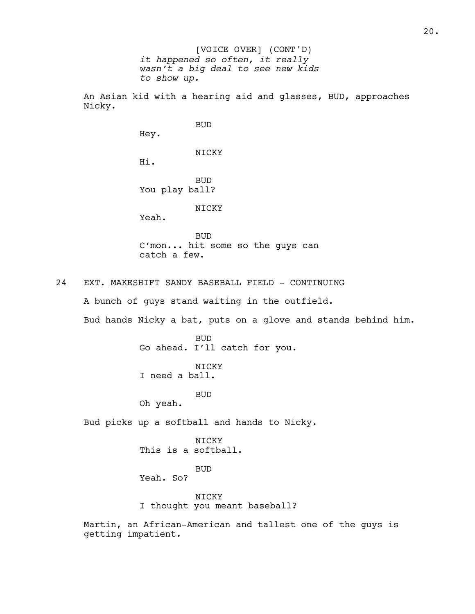*it happened so often, it really wasn't a big deal to see new kids to show up.* [VOICE OVER] (CONT'D)

An Asian kid with a hearing aid and glasses, BUD, approaches Nicky.

BUD

Hey.

NICKY

Hi.

BUD You play ball?

NICKY

Yeah.

BUD C'mon... hit some so the guys can catch a few.

24 EXT. MAKESHIFT SANDY BASEBALL FIELD - CONTINUING

A bunch of guys stand waiting in the outfield.

Bud hands Nicky a bat, puts on a glove and stands behind him.

BUD Go ahead. I'll catch for you.

NICKY

I need a ball.

BUD

Oh yeah.

Bud picks up a softball and hands to Nicky.

**NTCKY** This is a softball.

BUD

Yeah. So?

NICKY I thought you meant baseball?

Martin, an African-American and tallest one of the guys is getting impatient.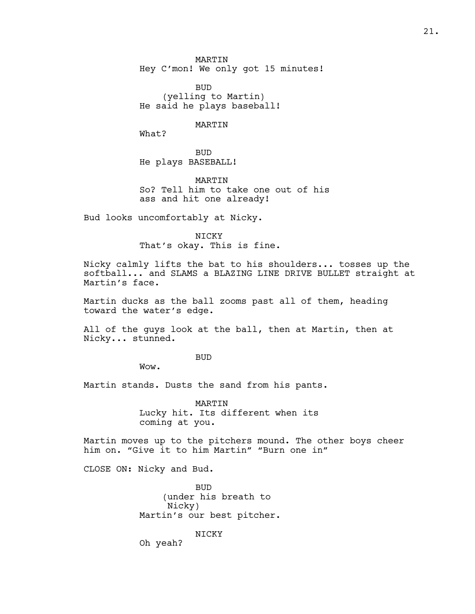MARTIN Hey C'mon! We only got 15 minutes!

BUD (yelling to Martin) He said he plays baseball!

#### MARTIN

What?

BUD He plays BASEBALL!

MARTIN So? Tell him to take one out of his ass and hit one already!

Bud looks uncomfortably at Nicky.

**NTCKY** That's okay. This is fine.

Nicky calmly lifts the bat to his shoulders... tosses up the softball... and SLAMS a BLAZING LINE DRIVE BULLET straight at Martin's face.

Martin ducks as the ball zooms past all of them, heading toward the water's edge.

All of the guys look at the ball, then at Martin, then at Nicky... stunned.

BUD

Wow.

Martin stands. Dusts the sand from his pants.

MARTIN Lucky hit. Its different when its coming at you.

Martin moves up to the pitchers mound. The other boys cheer him on. "Give it to him Martin" "Burn one in"

CLOSE ON: Nicky and Bud.

BUD (under his breath to Nicky) Martin's our best pitcher.

NICKY

Oh yeah?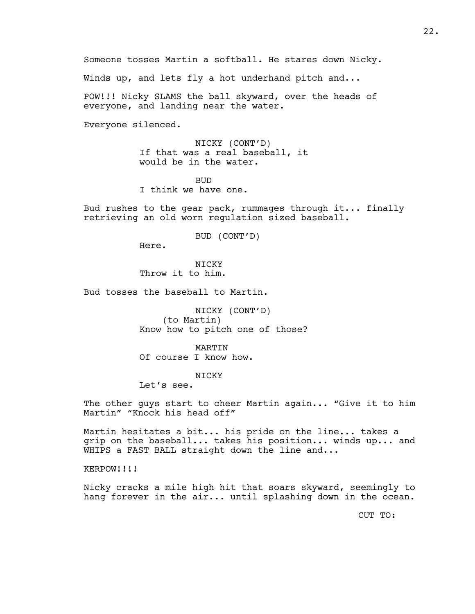Someone tosses Martin a softball. He stares down Nicky.

Winds up, and lets fly a hot underhand pitch and...

POW!!! Nicky SLAMS the ball skyward, over the heads of everyone, and landing near the water.

Everyone silenced.

NICKY (CONT'D) If that was a real baseball, it would be in the water.

BUD I think we have one.

Bud rushes to the gear pack, rummages through it... finally retrieving an old worn regulation sized baseball.

BUD (CONT'D)

Here.

NICKY Throw it to him.

Bud tosses the baseball to Martin.

NICKY (CONT'D) (to Martin) Know how to pitch one of those?

MARTIN Of course I know how.

NICKY

Let's see.

The other guys start to cheer Martin again... "Give it to him Martin" "Knock his head off"

Martin hesitates a bit... his pride on the line... takes a grip on the baseball... takes his position... winds up... and WHIPS a FAST BALL straight down the line and...

KERPOW!!!!

Nicky cracks a mile high hit that soars skyward, seemingly to hang forever in the air... until splashing down in the ocean.

CUT TO: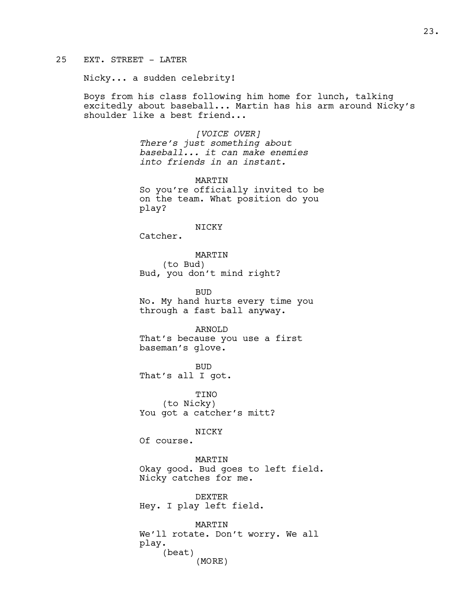#### 25 EXT. STREET - LATER

Nicky... a sudden celebrity!

Boys from his class following him home for lunch, talking excitedly about baseball... Martin has his arm around Nicky's shoulder like a best friend...

> *[VOICE OVER] There's just something about baseball... it can make enemies into friends in an instant.*

MARTIN So you're officially invited to be on the team. What position do you play?

#### NICKY

Catcher.

MARTIN (to Bud) Bud, you don't mind right?

BUD No. My hand hurts every time you through a fast ball anyway.

ARNOLD That's because you use a first baseman's glove.

BUD That's all I got.

TINO (to Nicky) You got a catcher's mitt?

NICKY

Of course.

MARTIN Okay good. Bud goes to left field. Nicky catches for me.

DEXTER Hey. I play left field.

MARTIN We'll rotate. Don't worry. We all play. (beat) (MORE)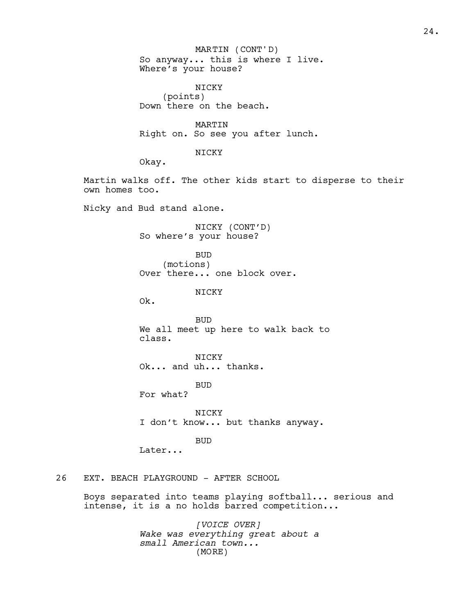So anyway... this is where I live. Where's your house? NICKY (points) Down there on the beach. MARTIN Right on. So see you after lunch. NICKY Okay. Martin walks off. The other kids start to disperse to their own homes too. Nicky and Bud stand alone. NICKY (CONT'D) So where's your house? BUD (motions) Over there... one block over. NICKY Ok. BUD We all meet up here to walk back to class. NICKY Ok... and uh... thanks. BUD For what? NICKY I don't know... but thanks anyway. BUD Later... 26 EXT. BEACH PLAYGROUND - AFTER SCHOOL Boys separated into teams playing softball... serious and intense, it is a no holds barred competition... *[VOICE OVER]* MARTIN (CONT'D)

*Wake was everything great about a small American town...*  (MORE)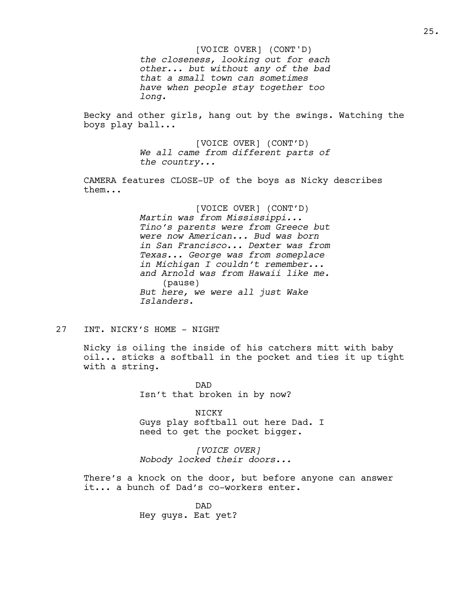*the closeness, looking out for each other... but without any of the bad that a small town can sometimes have when people stay together too long.* [VOICE OVER] (CONT'D)

Becky and other girls, hang out by the swings. Watching the boys play ball...

> [VOICE OVER] (CONT'D) *We all came from different parts of the country...*

CAMERA features CLOSE-UP of the boys as Nicky describes them...

> [VOICE OVER] (CONT'D) *Martin was from Mississippi... Tino's parents were from Greece but were now American... Bud was born in San Francisco... Dexter was from Texas... George was from someplace in Michigan I couldn't remember... and Arnold was from Hawaii like me.* (pause) *But here, we were all just Wake Islanders.*

27 INT. NICKY'S HOME - NIGHT

Nicky is oiling the inside of his catchers mitt with baby oil... sticks a softball in the pocket and ties it up tight with a string.

> DAD Isn't that broken in by now?

NICKY Guys play softball out here Dad. I need to get the pocket bigger.

*[VOICE OVER] Nobody locked their doors...*

There's a knock on the door, but before anyone can answer it... a bunch of Dad's co-workers enter.

> DAD Hey guys. Eat yet?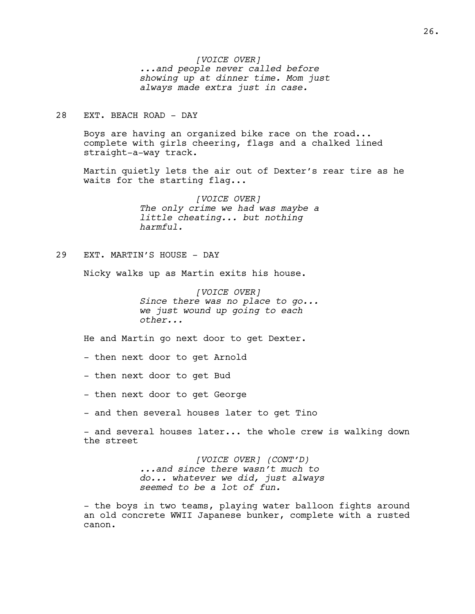*[VOICE OVER] ...and people never called before showing up at dinner time. Mom just always made extra just in case.*

28 EXT. BEACH ROAD - DAY

Boys are having an organized bike race on the road... complete with girls cheering, flags and a chalked lined straight-a-way track.

Martin quietly lets the air out of Dexter's rear tire as he waits for the starting flag...

> *[VOICE OVER] The only crime we had was maybe a little cheating... but nothing harmful.*

## 29 EXT. MARTIN'S HOUSE - DAY

Nicky walks up as Martin exits his house.

*[VOICE OVER] Since there was no place to go... we just wound up going to each other...*

He and Martin go next door to get Dexter.

- then next door to get Arnold
- then next door to get Bud
- then next door to get George
- and then several houses later to get Tino

- and several houses later... the whole crew is walking down the street

> *[VOICE OVER] (CONT'D) ...and since there wasn't much to do... whatever we did, just always seemed to be a lot of fun.*

- the boys in two teams, playing water balloon fights around an old concrete WWII Japanese bunker, complete with a rusted canon.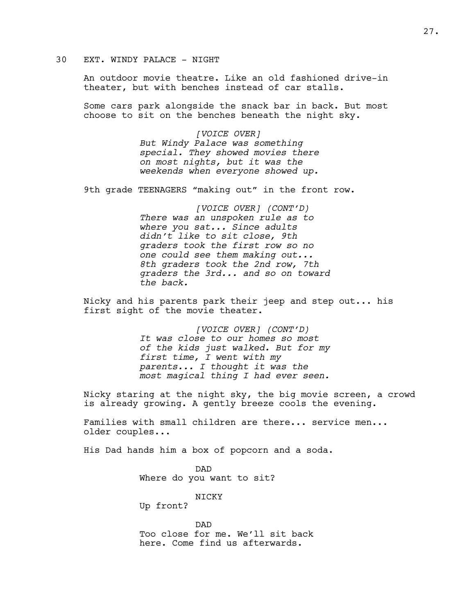#### 30 EXT. WINDY PALACE - NIGHT

An outdoor movie theatre. Like an old fashioned drive-in theater, but with benches instead of car stalls.

Some cars park alongside the snack bar in back. But most choose to sit on the benches beneath the night sky.

> *[VOICE OVER] But Windy Palace was something special. They showed movies there on most nights, but it was the weekends when everyone showed up.*

9th grade TEENAGERS "making out" in the front row.

*[VOICE OVER] (CONT'D) There was an unspoken rule as to where you sat... Since adults didn't like to sit close, 9th graders took the first row so no one could see them making out... 8th graders took the 2nd row, 7th graders the 3rd... and so on toward the back.*

Nicky and his parents park their jeep and step out... his first sight of the movie theater.

> *[VOICE OVER] (CONT'D) It was close to our homes so most of the kids just walked. But for my first time, I went with my parents... I thought it was the most magical thing I had ever seen.*

Nicky staring at the night sky, the big movie screen, a crowd is already growing. A gently breeze cools the evening.

Families with small children are there... service men... older couples...

His Dad hands him a box of popcorn and a soda.

DAD Where do you want to sit?

NICKY

Up front?

DAD Too close for me. We'll sit back here. Come find us afterwards.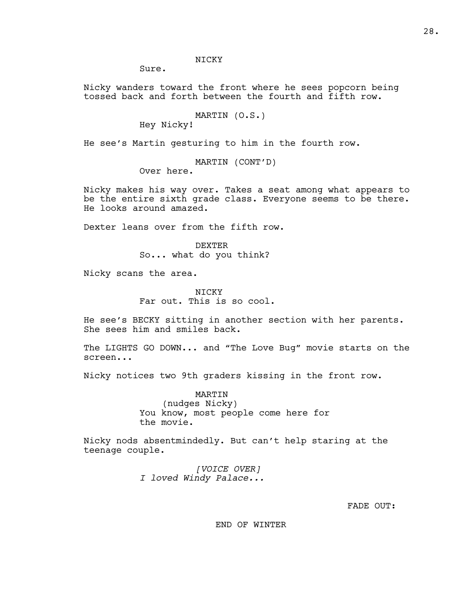NICKY

Sure.

Nicky wanders toward the front where he sees popcorn being tossed back and forth between the fourth and fifth row.

MARTIN (O.S.)

Hey Nicky!

He see's Martin gesturing to him in the fourth row.

MARTIN (CONT'D)

Over here.

Nicky makes his way over. Takes a seat among what appears to be the entire sixth grade class. Everyone seems to be there. He looks around amazed.

Dexter leans over from the fifth row.

DEXTER So... what do you think?

Nicky scans the area.

NICKY Far out. This is so cool.

He see's BECKY sitting in another section with her parents. She sees him and smiles back.

The LIGHTS GO DOWN... and "The Love Bug" movie starts on the screen...

Nicky notices two 9th graders kissing in the front row.

MARTIN (nudges Nicky) You know, most people come here for the movie.

Nicky nods absentmindedly. But can't help staring at the teenage couple.

> *[VOICE OVER] I loved Windy Palace...*

> > FADE OUT:

END OF WINTER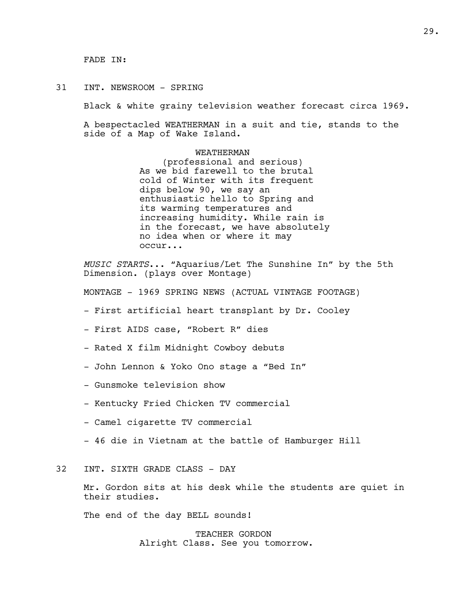FADE IN:

31 INT. NEWSROOM - SPRING

Black & white grainy television weather forecast circa 1969.

A bespectacled WEATHERMAN in a suit and tie, stands to the side of a Map of Wake Island.

> WEATHERMAN (professional and serious) As we bid farewell to the brutal cold of Winter with its frequent dips below 90, we say an enthusiastic hello to Spring and its warming temperatures and increasing humidity. While rain is in the forecast, we have absolutely no idea when or where it may occur...

*MUSIC STARTS*... "Aquarius/Let The Sunshine In" by the 5th Dimension. (plays over Montage)

MONTAGE - 1969 SPRING NEWS (ACTUAL VINTAGE FOOTAGE)

- First artificial heart transplant by Dr. Cooley
- First AIDS case, "Robert R" dies
- Rated X film Midnight Cowboy debuts
- John Lennon & Yoko Ono stage a "Bed In"
- Gunsmoke television show
- Kentucky Fried Chicken TV commercial
- Camel cigarette TV commercial
- 46 die in Vietnam at the battle of Hamburger Hill

#### 32 INT. SIXTH GRADE CLASS - DAY

Mr. Gordon sits at his desk while the students are quiet in their studies.

The end of the day BELL sounds!

TEACHER GORDON Alright Class. See you tomorrow.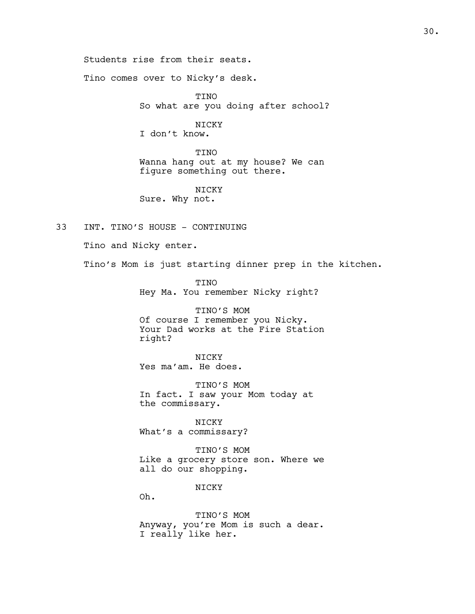Students rise from their seats.

Tino comes over to Nicky's desk.

TINO So what are you doing after school?

NICKY

I don't know.

TINO Wanna hang out at my house? We can figure something out there.

NICKY Sure. Why not.

33 INT. TINO'S HOUSE - CONTINUING

Tino and Nicky enter.

Tino's Mom is just starting dinner prep in the kitchen.

TINO Hey Ma. You remember Nicky right?

TINO'S MOM Of course I remember you Nicky. Your Dad works at the Fire Station right?

NICKY Yes ma'am. He does.

TINO'S MOM In fact. I saw your Mom today at the commissary.

NICKY What's a commissary?

TINO'S MOM Like a grocery store son. Where we all do our shopping.

NICKY

Oh.

TINO'S MOM Anyway, you're Mom is such a dear. I really like her.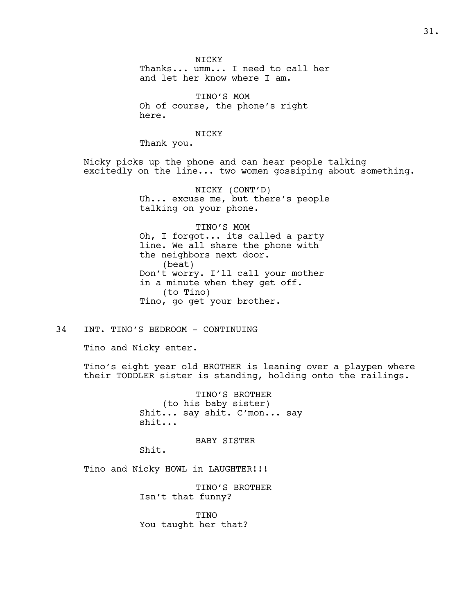NICKY

Thanks... umm... I need to call her and let her know where I am.

TINO'S MOM Oh of course, the phone's right here.

NICKY

Thank you.

Nicky picks up the phone and can hear people talking excitedly on the line... two women gossiping about something.

> NICKY (CONT'D) Uh... excuse me, but there's people talking on your phone.

TINO'S MOM Oh, I forgot... its called a party line. We all share the phone with the neighbors next door. (beat) Don't worry. I'll call your mother in a minute when they get off. (to Tino) Tino, go get your brother.

34 INT. TINO'S BEDROOM - CONTINUING

Tino and Nicky enter.

Tino's eight year old BROTHER is leaning over a playpen where their TODDLER sister is standing, holding onto the railings.

> TINO'S BROTHER (to his baby sister) Shit... say shit. C'mon... say shit...

> > BABY SISTER

Shit.

Tino and Nicky HOWL in LAUGHTER!!!

TINO'S BROTHER Isn't that funny?

TINO You taught her that?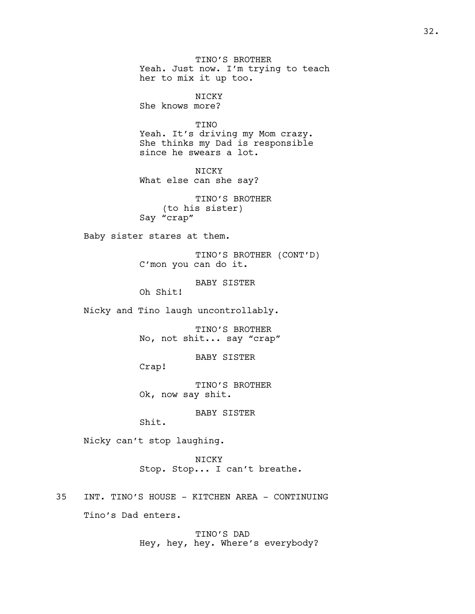TINO'S BROTHER Yeah. Just now. I'm trying to teach her to mix it up too.

NICKY She knows more?

TINO Yeah. It's driving my Mom crazy. She thinks my Dad is responsible since he swears a lot.

NICKY What else can she say?

TINO'S BROTHER (to his sister) Say "crap"

Baby sister stares at them.

TINO'S BROTHER (CONT'D) C'mon you can do it.

BABY SISTER

Oh Shit!

Nicky and Tino laugh uncontrollably.

TINO'S BROTHER No, not shit... say "crap"

BABY SISTER

Crap!

TINO'S BROTHER Ok, now say shit.

BABY SISTER

Shit.

Nicky can't stop laughing.

NICKY Stop. Stop... I can't breathe.

35 INT. TINO'S HOUSE - KITCHEN AREA - CONTINUING

Tino's Dad enters.

TINO'S DAD Hey, hey, hey. Where's everybody?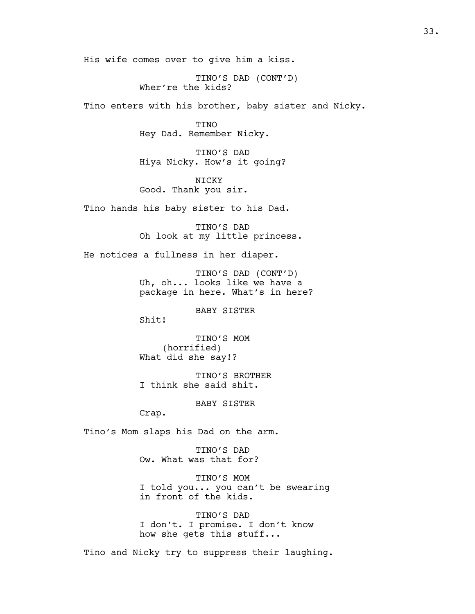His wife comes over to give him a kiss.

TINO'S DAD (CONT'D) Wher're the kids?

Tino enters with his brother, baby sister and Nicky.

TINO Hey Dad. Remember Nicky.

TINO'S DAD Hiya Nicky. How's it going?

NICKY Good. Thank you sir.

Tino hands his baby sister to his Dad.

TINO'S DAD Oh look at my little princess.

He notices a fullness in her diaper.

TINO'S DAD (CONT'D) Uh, oh... looks like we have a package in here. What's in here?

BABY SISTER

Shit!

TINO'S MOM (horrified) What did she say!?

TINO'S BROTHER I think she said shit.

BABY SISTER

Crap.

Tino's Mom slaps his Dad on the arm.

TINO'S DAD Ow. What was that for?

TINO'S MOM I told you... you can't be swearing in front of the kids.

TINO'S DAD I don't. I promise. I don't know how she gets this stuff...

Tino and Nicky try to suppress their laughing.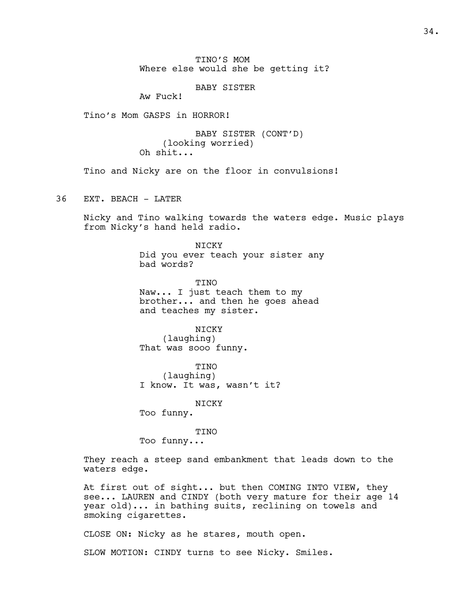TINO'S MOM Where else would she be getting it?

BABY SISTER

Aw Fuck!

Tino's Mom GASPS in HORROR!

BABY SISTER (CONT'D) (looking worried) Oh shit...

Tino and Nicky are on the floor in convulsions!

36 EXT. BEACH - LATER

Nicky and Tino walking towards the waters edge. Music plays from Nicky's hand held radio.

> NICKY Did you ever teach your sister any bad words?

TINO Naw... I just teach them to my brother... and then he goes ahead and teaches my sister.

NICKY (laughing) That was sooo funny.

TINO (laughing) I know. It was, wasn't it?

NICKY

Too funny.

TINO

Too funny...

They reach a steep sand embankment that leads down to the waters edge.

At first out of sight... but then COMING INTO VIEW, they see... LAUREN and CINDY (both very mature for their age 14 year old)... in bathing suits, reclining on towels and smoking cigarettes.

CLOSE ON: Nicky as he stares, mouth open.

SLOW MOTION: CINDY turns to see Nicky. Smiles.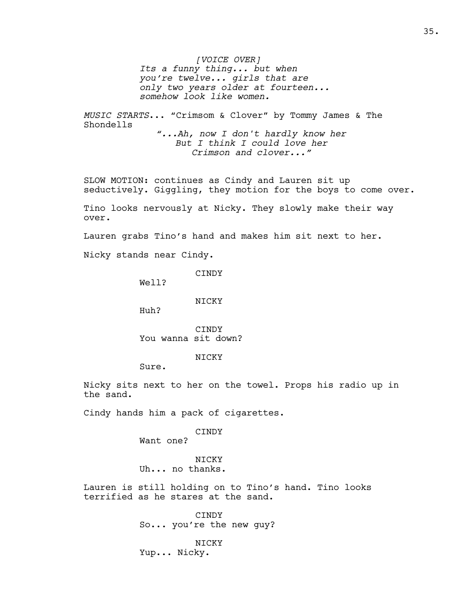*[VOICE OVER] Its a funny thing... but when you're twelve... girls that are only two years older at fourteen... somehow look like women.*

*MUSIC STARTS*... "Crimsom & Clover" by Tommy James & The Shondells *"...Ah, now I don't hardly know her But I think I could love her Crimson and clover..."*

SLOW MOTION: continues as Cindy and Lauren sit up seductively. Giggling, they motion for the boys to come over.

Tino looks nervously at Nicky. They slowly make their way over.

Lauren grabs Tino's hand and makes him sit next to her.

Nicky stands near Cindy.

CINDY

Well?

NICKY

Huh?

CINDY You wanna sit down?

NICKY

Sure.

Nicky sits next to her on the towel. Props his radio up in the sand.

Cindy hands him a pack of cigarettes.

CINDY

Want one?

NICKY Uh... no thanks.

Lauren is still holding on to Tino's hand. Tino looks terrified as he stares at the sand.

> CINDY So... you're the new guy?

**NTCKY** Yup... Nicky.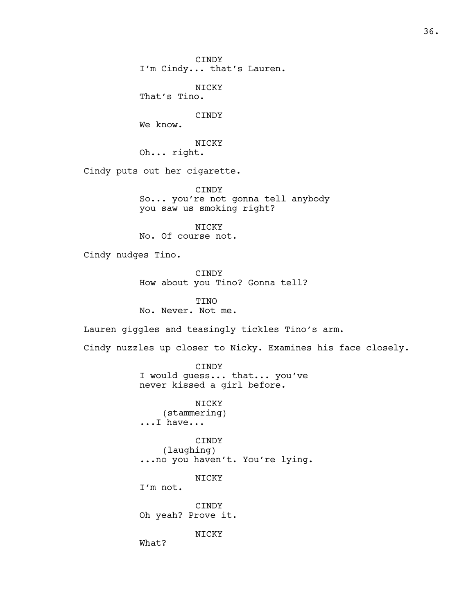CINDY I'm Cindy... that's Lauren. NICKY That's Tino.

CINDY

We know.

NICKY Oh... right.

Cindy puts out her cigarette.

CINDY So... you're not gonna tell anybody you saw us smoking right?

NICKY No. Of course not.

Cindy nudges Tino.

CINDY How about you Tino? Gonna tell?

TINO No. Never. Not me.

Lauren giggles and teasingly tickles Tino's arm.

Cindy nuzzles up closer to Nicky. Examines his face closely.

CINDY I would guess... that... you've never kissed a girl before.

NICKY (stammering) ...I have...

CINDY (laughing) ...no you haven't. You're lying.

NICKY

I'm not.

CINDY Oh yeah? Prove it.

NICKY

What?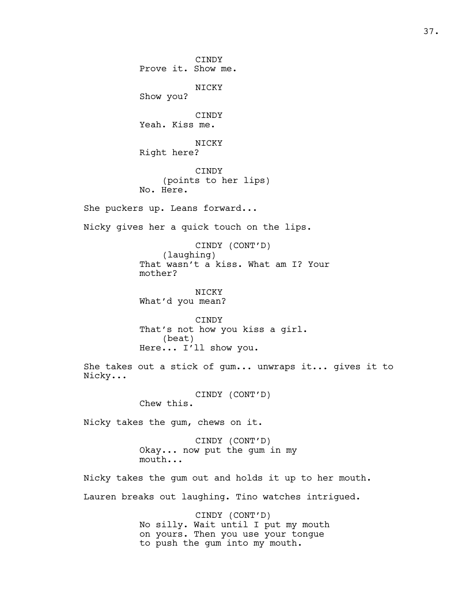CINDY Prove it. Show me. NICKY Show you? CINDY Yeah. Kiss me. NICKY Right here? CINDY (points to her lips) No. Here. She puckers up. Leans forward... Nicky gives her a quick touch on the lips. CINDY (CONT'D) (laughing) That wasn't a kiss. What am I? Your mother? NICKY What'd you mean? CINDY That's not how you kiss a girl. (beat) Here... I'll show you. She takes out a stick of gum... unwraps it... gives it to Nicky... CINDY (CONT'D) Chew this. Nicky takes the gum, chews on it. CINDY (CONT'D) Okay... now put the gum in my mouth... Nicky takes the gum out and holds it up to her mouth. Lauren breaks out laughing. Tino watches intrigued. CINDY (CONT'D) No silly. Wait until I put my mouth on yours. Then you use your tongue to push the gum into my mouth.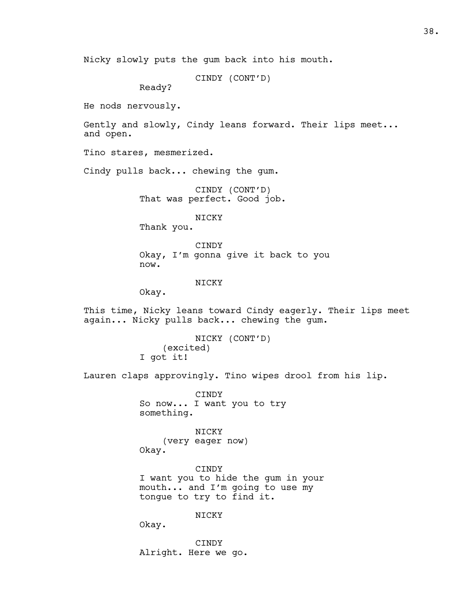Nicky slowly puts the gum back into his mouth.

CINDY (CONT'D)

Ready?

He nods nervously.

Gently and slowly, Cindy leans forward. Their lips meet... and open.

Tino stares, mesmerized.

Cindy pulls back... chewing the gum.

CINDY (CONT'D) That was perfect. Good job.

NICKY

Thank you.

CINDY Okay, I'm gonna give it back to you now.

## NICKY

Okay.

This time, Nicky leans toward Cindy eagerly. Their lips meet again... Nicky pulls back... chewing the gum.

> NICKY (CONT'D) (excited) I got it!

Lauren claps approvingly. Tino wipes drool from his lip.

CINDY So now... I want you to try something.

NICKY (very eager now) Okay.

CINDY I want you to hide the gum in your mouth... and I'm going to use my tongue to try to find it.

NICKY

Okay.

**CTNDY** Alright. Here we go.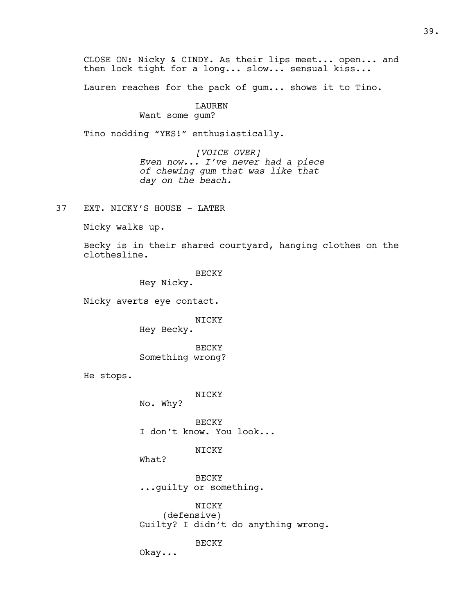CLOSE ON: Nicky & CINDY. As their lips meet... open... and then lock tight for a long... slow... sensual kiss...

Lauren reaches for the pack of gum... shows it to Tino.

#### LAUREN

Want some gum?

Tino nodding "YES!" enthusiastically.

*[VOICE OVER] Even now... I've never had a piece of chewing gum that was like that day on the beach.*

37 EXT. NICKY'S HOUSE - LATER

Nicky walks up.

Becky is in their shared courtyard, hanging clothes on the clothesline.

BECKY

Hey Nicky.

Nicky averts eye contact.

NICKY

Hey Becky.

BECKY Something wrong?

He stops.

NICKY

No. Why?

BECKY I don't know. You look...

NICKY

What?

BECKY ...guilty or something.

NICKY (defensive) Guilty? I didn't do anything wrong.

**BECKY** 

Okay...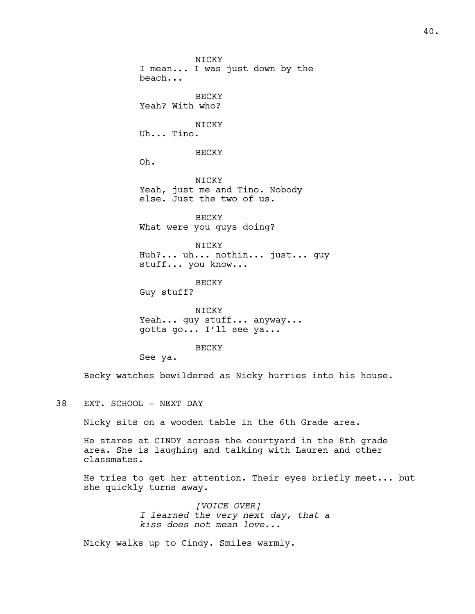NICKY I mean... I was just down by the beach... **BECKY** Yeah? With who? NICKY Uh... Tino. BECKY Oh. NICKY Yeah, just me and Tino. Nobody else. Just the two of us. BECKY What were you guys doing? NICKY Huh?... uh... nothin... just... guy stuff... you know... BECKY Guy stuff? NICKY Yeah... guy stuff... anyway... gotta go... I'll see ya...

BECKY

See ya.

Becky watches bewildered as Nicky hurries into his house.

38 EXT. SCHOOL - NEXT DAY

Nicky sits on a wooden table in the 6th Grade area.

He stares at CINDY across the courtyard in the 8th grade area. She is laughing and talking with Lauren and other classmates.

He tries to get her attention. Their eyes briefly meet... but she quickly turns away.

> *[VOICE OVER] I learned the very next day, that a kiss does not mean love...*

Nicky walks up to Cindy. Smiles warmly.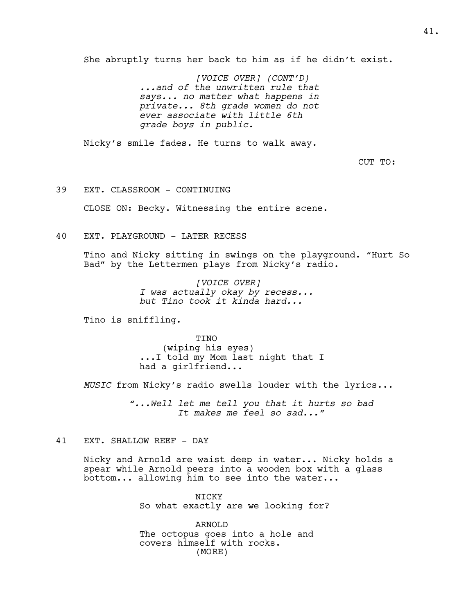She abruptly turns her back to him as if he didn't exist.

*[VOICE OVER] (CONT'D) ...and of the unwritten rule that says... no matter what happens in private... 8th grade women do not ever associate with little 6th grade boys in public.*

Nicky's smile fades. He turns to walk away.

CUT TO:

39 EXT. CLASSROOM - CONTINUING

CLOSE ON: Becky. Witnessing the entire scene.

40 EXT. PLAYGROUND - LATER RECESS

Tino and Nicky sitting in swings on the playground. "Hurt So Bad" by the Lettermen plays from Nicky's radio.

> *[VOICE OVER] I was actually okay by recess... but Tino took it kinda hard...*

Tino is sniffling.

**TINO** (wiping his eyes) ...I told my Mom last night that I had a girlfriend...

*MUSIC* from Nicky's radio swells louder with the lyrics...

*"...Well let me tell you that it hurts so bad It makes me feel so sad..."*

41 EXT. SHALLOW REEF - DAY

Nicky and Arnold are waist deep in water... Nicky holds a spear while Arnold peers into a wooden box with a glass bottom... allowing him to see into the water...

> NICKY So what exactly are we looking for?

ARNOLD The octopus goes into a hole and covers himself with rocks. (MORE)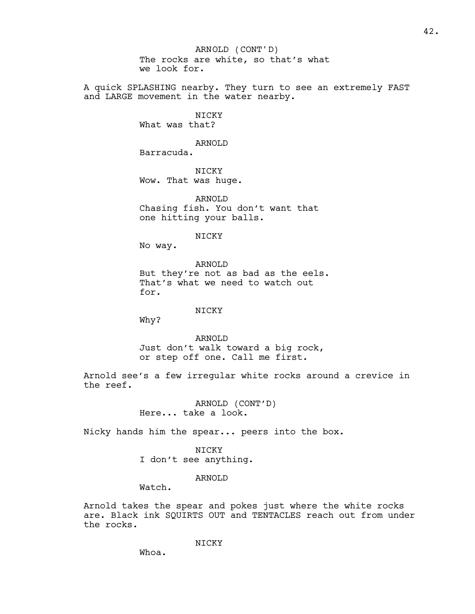The rocks are white, so that's what we look for. ARNOLD (CONT'D)

A quick SPLASHING nearby. They turn to see an extremely FAST and LARGE movement in the water nearby.

> NICKY What was that?

#### ARNOLD

Barracuda.

NICKY Wow. That was huge.

ARNOLD Chasing fish. You don't want that one hitting your balls.

**NTCKY** 

No way.

ARNOLD But they're not as bad as the eels. That's what we need to watch out for.

#### NICKY

Why?

ARNOLD Just don't walk toward a big rock, or step off one. Call me first.

Arnold see's a few irregular white rocks around a crevice in the reef.

> ARNOLD (CONT'D) Here... take a look.

Nicky hands him the spear... peers into the box.

NICKY I don't see anything.

# ARNOLD

Watch.

Arnold takes the spear and pokes just where the white rocks are. Black ink SQUIRTS OUT and TENTACLES reach out from under the rocks.

**NTCKY** 

Whoa.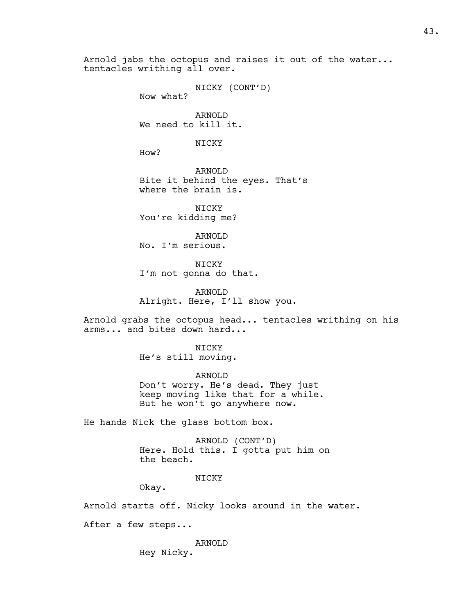Arnold jabs the octopus and raises it out of the water... tentacles writhing all over.

NICKY (CONT'D)

Now what?

ARNOLD We need to kill it.

NICKY

How?

ARNOLD Bite it behind the eyes. That's where the brain is.

NICKY You're kidding me?

ARNOLD No. I'm serious.

NICKY I'm not gonna do that.

ARNOLD Alright. Here, I'll show you.

Arnold grabs the octopus head... tentacles writhing on his arms... and bites down hard...

> NICKY He's still moving.

ARNOLD Don't worry. He's dead. They just keep moving like that for a while. But he won't go anywhere now.

He hands Nick the glass bottom box.

ARNOLD (CONT'D) Here. Hold this. I gotta put him on the beach.

# NICKY

Okay.

Arnold starts off. Nicky looks around in the water.

After a few steps...

ARNOLD Hey Nicky.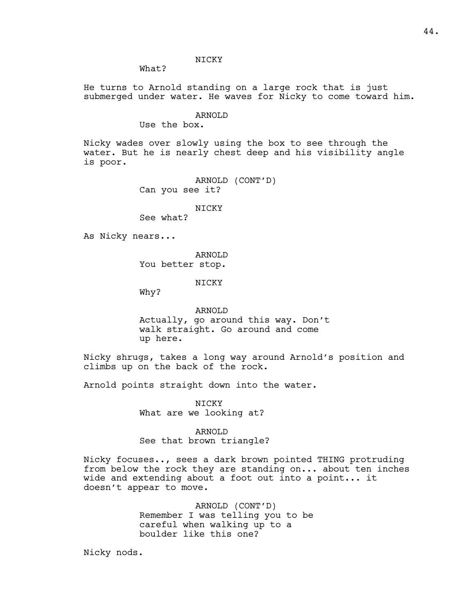## NICKY

What?

He turns to Arnold standing on a large rock that is just submerged under water. He waves for Nicky to come toward him.

# ARNOLD

Use the box.

Nicky wades over slowly using the box to see through the water. But he is nearly chest deep and his visibility angle is poor.

> ARNOLD (CONT'D) Can you see it?

> > NICKY

See what?

As Nicky nears...

ARNOLD You better stop.

NICKY

Why?

ARNOLD Actually, go around this way. Don't walk straight. Go around and come up here.

Nicky shrugs, takes a long way around Arnold's position and climbs up on the back of the rock.

Arnold points straight down into the water.

NICKY What are we looking at?

ARNOLD See that brown triangle?

Nicky focuses.., sees a dark brown pointed THING protruding from below the rock they are standing on... about ten inches wide and extending about a foot out into a point... it doesn't appear to move.

> ARNOLD (CONT'D) Remember I was telling you to be careful when walking up to a boulder like this one?

Nicky nods.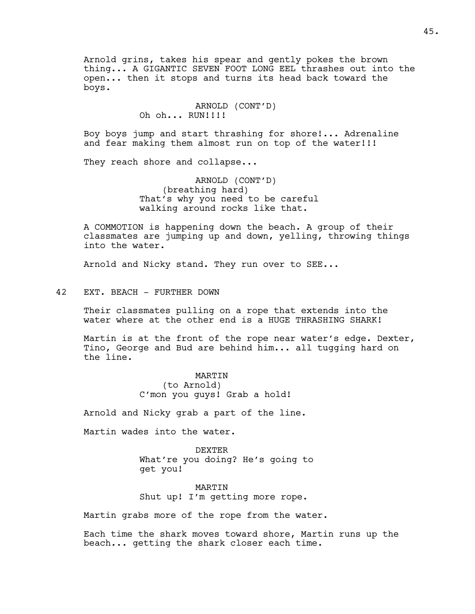Arnold grins, takes his spear and gently pokes the brown thing... A GIGANTIC SEVEN FOOT LONG EEL thrashes out into the open... then it stops and turns its head back toward the boys.

## ARNOLD (CONT'D) Oh oh... RUN!!!!

Boy boys jump and start thrashing for shore!... Adrenaline and fear making them almost run on top of the water!!!

They reach shore and collapse...

ARNOLD (CONT'D) (breathing hard) That's why you need to be careful walking around rocks like that.

A COMMOTION is happening down the beach. A group of their classmates are jumping up and down, yelling, throwing things into the water.

Arnold and Nicky stand. They run over to SEE...

# 42 EXT. BEACH - FURTHER DOWN

Their classmates pulling on a rope that extends into the water where at the other end is a HUGE THRASHING SHARK!

Martin is at the front of the rope near water's edge. Dexter, Tino, George and Bud are behind him... all tugging hard on the line.

> MARTIN (to Arnold) C'mon you guys! Grab a hold!

Arnold and Nicky grab a part of the line.

Martin wades into the water.

DEXTER What're you doing? He's going to get you!

MARTIN Shut up! I'm getting more rope.

Martin grabs more of the rope from the water.

Each time the shark moves toward shore, Martin runs up the beach... getting the shark closer each time.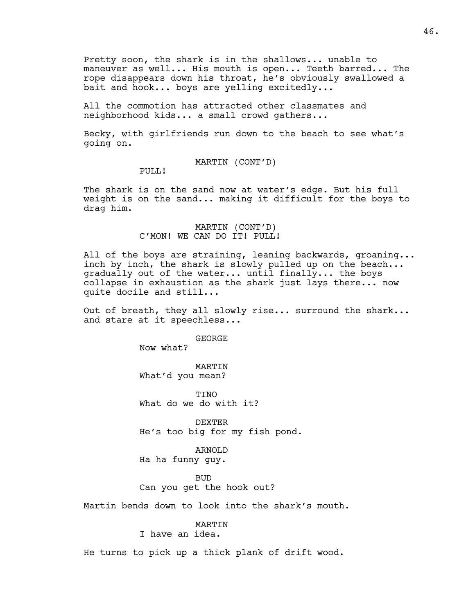Pretty soon, the shark is in the shallows... unable to maneuver as well... His mouth is open... Teeth barred... The rope disappears down his throat, he's obviously swallowed a bait and hook... boys are yelling excitedly...

All the commotion has attracted other classmates and neighborhood kids... a small crowd gathers...

Becky, with girlfriends run down to the beach to see what's going on.

MARTIN (CONT'D)

PULL!

The shark is on the sand now at water's edge. But his full weight is on the sand... making it difficult for the boys to drag him.

## MARTIN (CONT'D) C'MON! WE CAN DO IT! PULL!

All of the boys are straining, leaning backwards, groaning... inch by inch, the shark is slowly pulled up on the beach... gradually out of the water... until finally... the boys collapse in exhaustion as the shark just lays there... now quite docile and still...

Out of breath, they all slowly rise... surround the shark... and stare at it speechless...

**GEORGE** 

Now what?

MARTIN What'd you mean?

**TINO** What do we do with it?

DEXTER He's too big for my fish pond.

ARNOLD Ha ha funny guy.

BUD

Can you get the hook out?

Martin bends down to look into the shark's mouth.

MARTIN I have an idea.

He turns to pick up a thick plank of drift wood.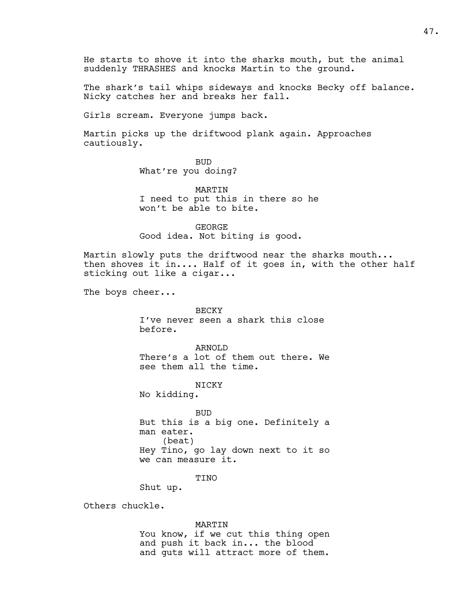He starts to shove it into the sharks mouth, but the animal suddenly THRASHES and knocks Martin to the ground.

The shark's tail whips sideways and knocks Becky off balance. Nicky catches her and breaks her fall.

Girls scream. Everyone jumps back.

Martin picks up the driftwood plank again. Approaches cautiously.

> BUD What're you doing?

MARTIN I need to put this in there so he won't be able to bite.

GEORGE Good idea. Not biting is good.

Martin slowly puts the driftwood near the sharks mouth... then shoves it in.... Half of it goes in, with the other half sticking out like a cigar...

The boys cheer...

BECKY I've never seen a shark this close before.

ARNOLD There's a lot of them out there. We see them all the time.

NICKY

No kidding.

BUD But this is a big one. Definitely a man eater. (beat) Hey Tino, go lay down next to it so we can measure it.

TINO

Shut up.

Others chuckle.

MARTIN

You know, if we cut this thing open and push it back in... the blood and guts will attract more of them.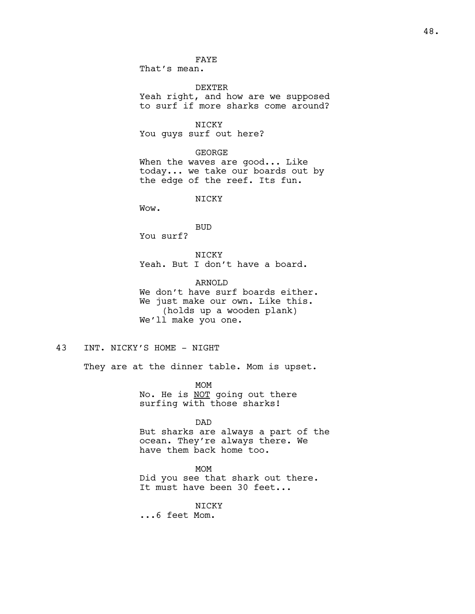That's mean.

#### DEXTER

Yeah right, and how are we supposed to surf if more sharks come around?

## NICKY

You guys surf out here?

#### GEORGE

When the waves are good... Like today... we take our boards out by the edge of the reef. Its fun.

#### NICKY

Wow.

BUD

You surf?

NICKY Yeah. But I don't have a board.

ARNOLD We don't have surf boards either. We just make our own. Like this. (holds up a wooden plank) We'll make you one.

#### 43 INT. NICKY'S HOME - NIGHT

They are at the dinner table. Mom is upset.

MOM

No. He is NOT going out there surfing with those sharks!

## DAD

But sharks are always a part of the ocean. They're always there. We have them back home too.

## MOM

Did you see that shark out there. It must have been 30 feet...

## **NTCKY**

...6 feet Mom.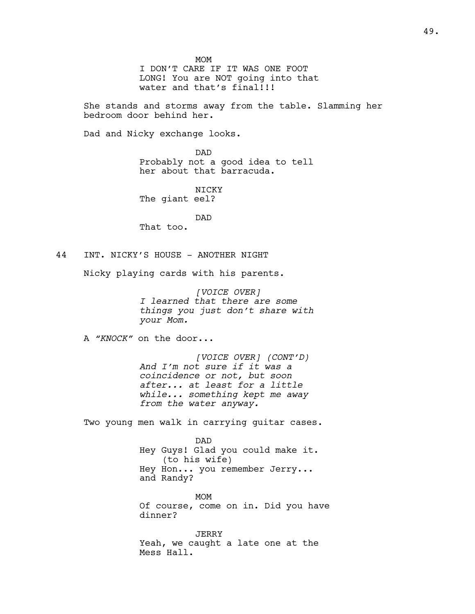MOM I DON'T CARE IF IT WAS ONE FOOT LONG! You are NOT going into that water and that's final!!!

She stands and storms away from the table. Slamming her bedroom door behind her.

Dad and Nicky exchange looks.

DAD Probably not a good idea to tell her about that barracuda.

NICKY The giant eel?

DAD

That too.

## 44 INT. NICKY'S HOUSE - ANOTHER NIGHT

Nicky playing cards with his parents.

*[VOICE OVER] I learned that there are some things you just don't share with your Mom.*

A *"KNOCK"* on the door...

*[VOICE OVER] (CONT'D) And I'm not sure if it was a coincidence or not, but soon after... at least for a little while... something kept me away from the water anyway.*

Two young men walk in carrying guitar cases.

DAD Hey Guys! Glad you could make it. (to his wife) Hey Hon... you remember Jerry... and Randy?

MOM Of course, come on in. Did you have dinner?

JERRY Yeah, we caught a late one at the Mess Hall.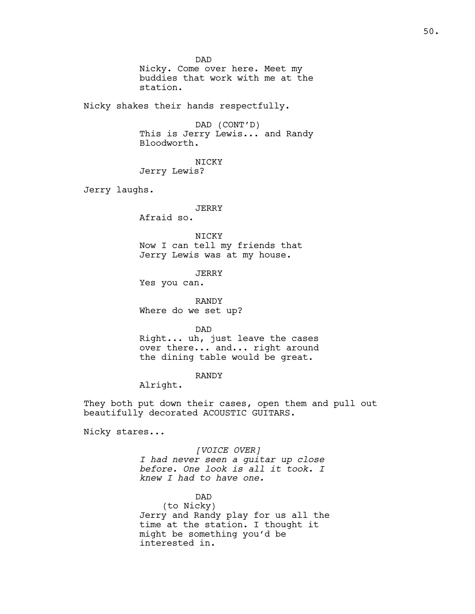DAD Nicky. Come over here. Meet my buddies that work with me at the station.

Nicky shakes their hands respectfully.

DAD (CONT'D) This is Jerry Lewis... and Randy Bloodworth.

NICKY Jerry Lewis?

Jerry laughs.

# JERRY

Afraid so.

**NTCKY** Now I can tell my friends that Jerry Lewis was at my house.

JERRY

Yes you can.

RANDY Where do we set up?

DAD

Right... uh, just leave the cases over there... and... right around the dining table would be great.

## RANDY

Alright.

They both put down their cases, open them and pull out beautifully decorated ACOUSTIC GUITARS.

Nicky stares...

*[VOICE OVER] I had never seen a guitar up close before. One look is all it took. I knew I had to have one.*

DAD (to Nicky) Jerry and Randy play for us all the time at the station. I thought it might be something you'd be interested in.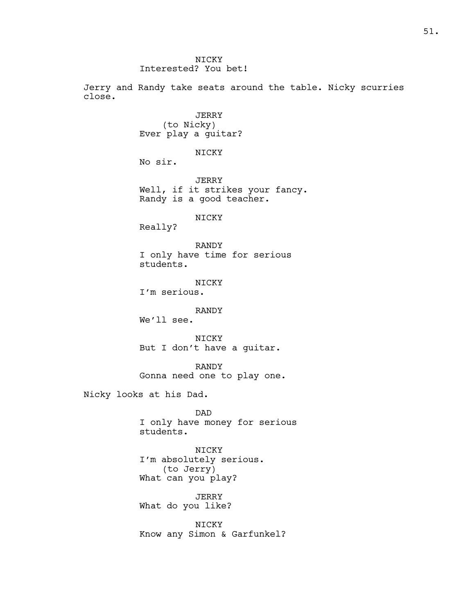NICKY Interested? You bet!

Jerry and Randy take seats around the table. Nicky scurries close.

JERRY (to Nicky) Ever play a guitar? NICKY No sir. JERRY Well, if it strikes your fancy. Randy is a good teacher. NICKY Really? RANDY I only have time for serious students. NICKY I'm serious. RANDY We'll see. NICKY But I don't have a guitar. RANDY Gonna need one to play one. Nicky looks at his Dad. DAD I only have money for serious students. NICKY I'm absolutely serious. (to Jerry) What can you play? JERRY What do you like? NICKY Know any Simon & Garfunkel?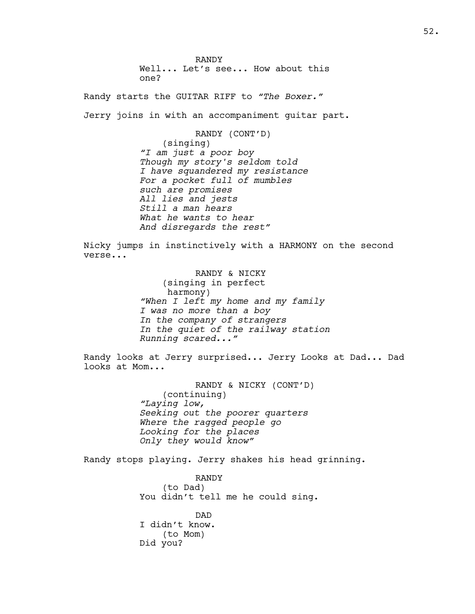RANDY Well... Let's see... How about this one? Randy starts the GUITAR RIFF to *"The Boxer."* Jerry joins in with an accompaniment guitar part. RANDY (CONT'D) (singing) *"I am just a poor boy Though my story's seldom told I have squandered my resistance For a pocket full of mumbles such are promises All lies and jests Still a man hears What he wants to hear And disregards the rest"*  Nicky jumps in instinctively with a HARMONY on the second verse... RANDY & NICKY (singing in perfect harmony) *"When I left my home and my family I was no more than a boy In the company of strangers In the quiet of the railway station Running scared..."* Randy looks at Jerry surprised... Jerry Looks at Dad... Dad looks at Mom... RANDY & NICKY (CONT'D) (continuing) *"Laying low, Seeking out the poorer quarters Where the ragged people go Looking for the places Only they would know"*  Randy stops playing. Jerry shakes his head grinning. RANDY (to Dad) You didn't tell me he could sing. DAD

I didn't know. (to Mom) Did you?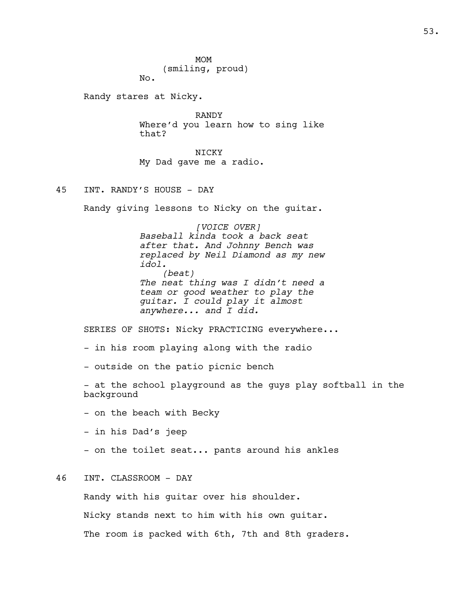No.

Randy stares at Nicky.

RANDY Where'd you learn how to sing like that?

NICKY My Dad gave me a radio.

45 INT. RANDY'S HOUSE - DAY

Randy giving lessons to Nicky on the guitar.

*[VOICE OVER] Baseball kinda took a back seat after that. And Johnny Bench was replaced by Neil Diamond as my new idol. (beat) The neat thing was I didn't need a team or good weather to play the guitar. I could play it almost anywhere... and I did.*

SERIES OF SHOTS: Nicky PRACTICING everywhere...

- in his room playing along with the radio

- outside on the patio picnic bench

- at the school playground as the guys play softball in the background

- on the beach with Becky

- in his Dad's jeep

- on the toilet seat... pants around his ankles

# 46 INT. CLASSROOM - DAY

Randy with his guitar over his shoulder.

Nicky stands next to him with his own guitar.

The room is packed with 6th, 7th and 8th graders.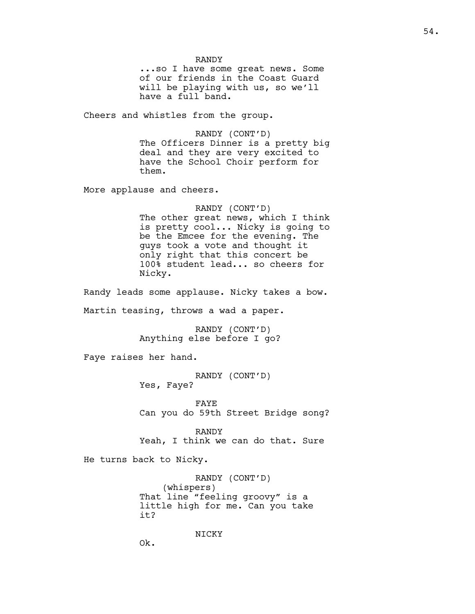RANDY ...so I have some great news. Some of our friends in the Coast Guard will be playing with us, so we'll have a full band.

Cheers and whistles from the group.

RANDY (CONT'D) The Officers Dinner is a pretty big deal and they are very excited to have the School Choir perform for them.

More applause and cheers.

RANDY (CONT'D) The other great news, which I think is pretty cool... Nicky is going to be the Emcee for the evening. The guys took a vote and thought it only right that this concert be 100% student lead... so cheers for Nicky.

Randy leads some applause. Nicky takes a bow.

Martin teasing, throws a wad a paper.

RANDY (CONT'D) Anything else before I go?

Faye raises her hand.

RANDY (CONT'D) Yes, Faye?

FAYE Can you do 59th Street Bridge song?

RANDY Yeah, I think we can do that. Sure

He turns back to Nicky.

RANDY (CONT'D) (whispers) That line "feeling groovy" is a little high for me. Can you take it?

NICKY

Ok.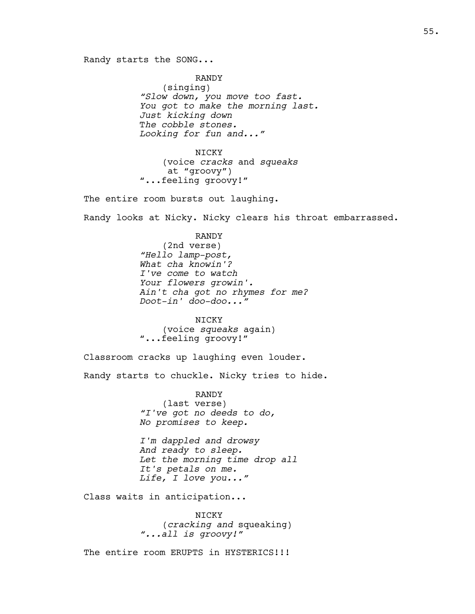Randy starts the SONG...

RANDY (singing) *"Slow down, you move too fast. You got to make the morning last. Just kicking down*  T*he cobble stones. Looking for fun and..."*

NICKY (voice *cracks* and *squeaks* at "groovy") "...feeling groovy!"

The entire room bursts out laughing.

Randy looks at Nicky. Nicky clears his throat embarrassed.

RANDY (2nd verse) *"Hello lamp-post, What cha knowin'? I've come to watch Your flowers growin'. Ain't cha got no rhymes for me? Doot-in' doo-doo..."*

**NTCKY** (voice *squeaks* again) "...feeling groovy!"

Classroom cracks up laughing even louder.

Randy starts to chuckle. Nicky tries to hide.

RANDY (last verse) *"I've got no deeds to do, No promises to keep.*

*I'm dappled and drowsy And ready to sleep. Let the morning time drop all It's petals on me. Life, I love you..."*

Class waits in anticipation...

NICKY (*cracking and* squeaking) *"...all is groovy!"*

The entire room ERUPTS in HYSTERICS!!!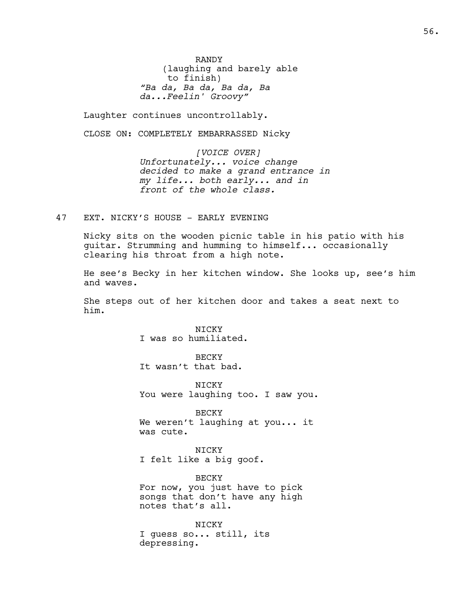RANDY (laughing and barely able to finish) *"Ba da, Ba da, Ba da, Ba da...Feelin' Groovy"*

Laughter continues uncontrollably.

CLOSE ON: COMPLETELY EMBARRASSED Nicky

*[VOICE OVER] Unfortunately... voice change decided to make a grand entrance in my life... both early... and in front of the whole class.*

47 EXT. NICKY'S HOUSE - EARLY EVENING

Nicky sits on the wooden picnic table in his patio with his guitar. Strumming and humming to himself... occasionally clearing his throat from a high note.

He see's Becky in her kitchen window. She looks up, see's him and waves.

She steps out of her kitchen door and takes a seat next to him.

> NICKY I was so humiliated.

**BECKY** It wasn't that bad.

NICKY You were laughing too. I saw you.

BECKY We weren't laughing at you... it was cute.

NICKY I felt like a big goof.

BECKY For now, you just have to pick songs that don't have any high notes that's all.

NICKY I guess so... still, its depressing.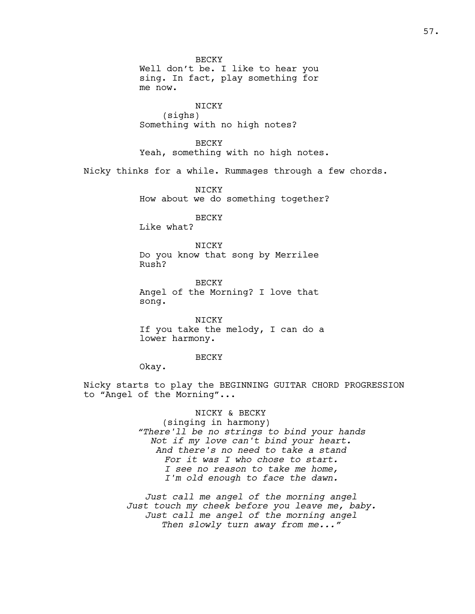BECKY Well don't be. I like to hear you sing. In fact, play something for me now.

NICKY (sighs) Something with no high notes?

BECKY Yeah, something with no high notes.

Nicky thinks for a while. Rummages through a few chords.

NICKY How about we do something together?

BECKY

Like what?

NICKY Do you know that song by Merrilee Rush?

BECKY Angel of the Morning? I love that song.

NICKY If you take the melody, I can do a lower harmony.

BECKY

Okay.

Nicky starts to play the BEGINNING GUITAR CHORD PROGRESSION to "Angel of the Morning"...

> NICKY & BECKY (singing in harmony) *"There'll be no strings to bind your hands Not if my love can't bind your heart. And there's no need to take a stand For it was I who chose to start. I see no reason to take me home, I'm old enough to face the dawn.*

*Just call me angel of the morning angel Just touch my cheek before you leave me, baby. Just call me angel of the morning angel Then slowly turn away from me..."*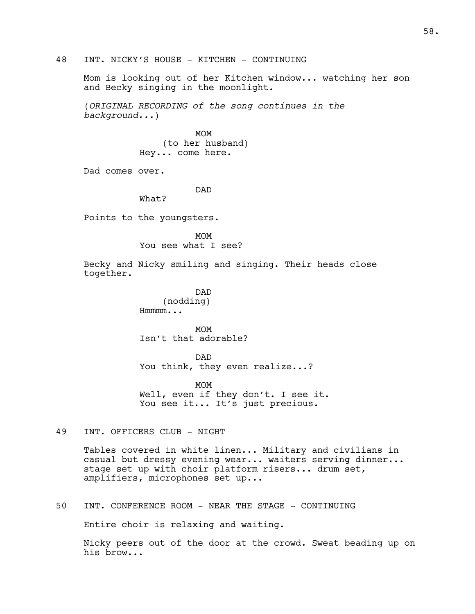#### 48 INT. NICKY'S HOUSE - KITCHEN - CONTINUING

Mom is looking out of her Kitchen window... watching her son and Becky singing in the moonlight.

(*ORIGINAL RECORDING of the song continues in the background...*)

> MOM (to her husband) Hey... come here.

Dad comes over.

DAD

What?

Points to the youngsters.

MOM You see what I see?

Becky and Nicky smiling and singing. Their heads close together.

> DAD (nodding) Hmmmm...

MOM Isn't that adorable?

DAD You think, they even realize...?

MOM Well, even if they don't. I see it. You see it... It's just precious.

49 INT. OFFICERS CLUB - NIGHT

Tables covered in white linen... Military and civilians in casual but dressy evening wear... waiters serving dinner... stage set up with choir platform risers... drum set, amplifiers, microphones set up...

50 INT. CONFERENCE ROOM - NEAR THE STAGE - CONTINUING

Entire choir is relaxing and waiting.

Nicky peers out of the door at the crowd. Sweat beading up on his brow...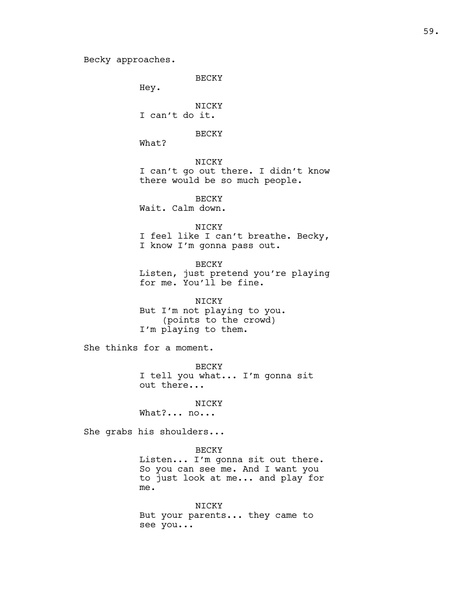Becky approaches.

BECKY

Hey.

NICKY I can't do it.

**BECKY** 

What?

NICKY

I can't go out there. I didn't know there would be so much people.

**BECKY** 

Wait. Calm down.

NICKY

I feel like I can't breathe. Becky, I know I'm gonna pass out.

BECKY Listen, just pretend you're playing for me. You'll be fine.

**NTCKY** But I'm not playing to you. (points to the crowd) I'm playing to them.

She thinks for a moment.

BECKY I tell you what... I'm gonna sit out there...

**NTCKY** What?... no...

She grabs his shoulders...

BECKY Listen... I'm gonna sit out there. So you can see me. And I want you to just look at me... and play for me.

NICKY But your parents... they came to see you...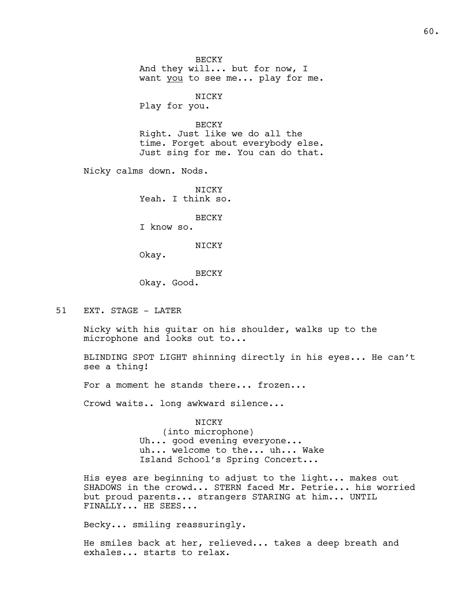BECKY And they will... but for now, I want you to see me... play for me. NICKY Play for you. BECKY Right. Just like we do all the time. Forget about everybody else. Just sing for me. You can do that. Nicky calms down. Nods. **NTCKY** Yeah. I think so. BECKY I know so. NICKY Okay. BECKY Okay. Good. 51 EXT. STAGE - LATER

Nicky with his guitar on his shoulder, walks up to the microphone and looks out to...

BLINDING SPOT LIGHT shinning directly in his eyes... He can't see a thing!

For a moment he stands there... frozen...

Crowd waits.. long awkward silence...

NICKY (into microphone) Uh... good evening everyone... uh... welcome to the... uh... Wake Island School's Spring Concert...

His eyes are beginning to adjust to the light... makes out SHADOWS in the crowd... STERN faced Mr. Petrie... his worried but proud parents... strangers STARING at him... UNTIL FINALLY... HE SEES...

Becky... smiling reassuringly.

He smiles back at her, relieved... takes a deep breath and exhales... starts to relax.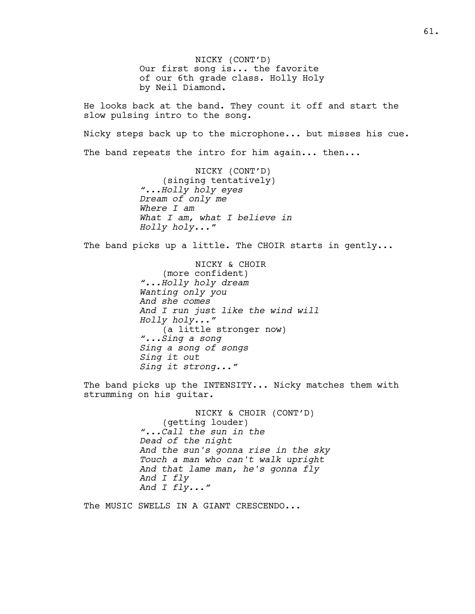NICKY (CONT'D) Our first song is... the favorite of our 6th grade class. Holly Holy by Neil Diamond.

He looks back at the band. They count it off and start the slow pulsing intro to the song.

Nicky steps back up to the microphone... but misses his cue. The band repeats the intro for him again... then...

> NICKY (CONT'D) (singing tentatively) *"...Holly holy eyes Dream of only me Where I am What I am, what I believe in Holly holy..."*

The band picks up a little. The CHOIR starts in gently...

NICKY & CHOIR (more confident) *"...Holly holy dream Wanting only you And she comes And I run just like the wind will Holly holy..."* (a little stronger now) *"...Sing a song Sing a song of songs Sing it out Sing it strong..."*

The band picks up the INTENSITY... Nicky matches them with strumming on his guitar.

> NICKY & CHOIR (CONT'D) (getting louder) *"...Call the sun in the Dead of the night And the sun's gonna rise in the sky Touch a man who can't walk upright And that lame man, he's gonna fly And I fly And I fly..."*

The MUSIC SWELLS IN A GIANT CRESCENDO...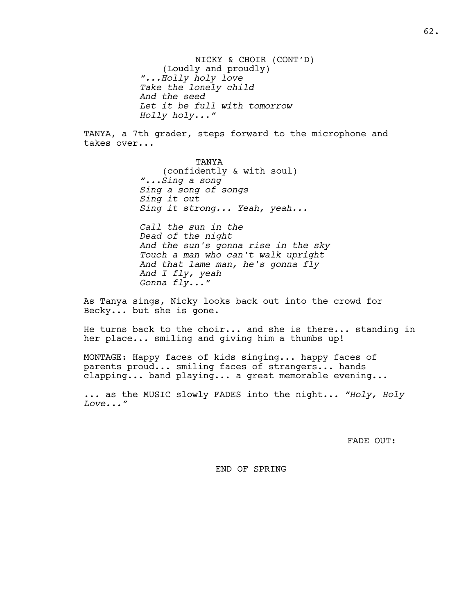NICKY & CHOIR (CONT'D) (Loudly and proudly) *"...Holly holy love Take the lonely child And the seed Let it be full with tomorrow Holly holy..."*

TANYA, a 7th grader, steps forward to the microphone and takes over...

> TANYA (confidently & with soul) *"...Sing a song Sing a song of songs Sing it out Sing it strong... Yeah, yeah...*

*Call the sun in the Dead of the night And the sun's gonna rise in the sky Touch a man who can't walk upright And that lame man, he's gonna fly And I fly, yeah Gonna fly..."*

As Tanya sings, Nicky looks back out into the crowd for Becky... but she is gone.

He turns back to the choir... and she is there... standing in her place... smiling and giving him a thumbs up!

MONTAGE: Happy faces of kids singing... happy faces of parents proud... smiling faces of strangers... hands clapping... band playing... a great memorable evening...

... as the MUSIC slowly FADES into the night... *"Holy, Holy Love..."*

FADE OUT:

END OF SPRING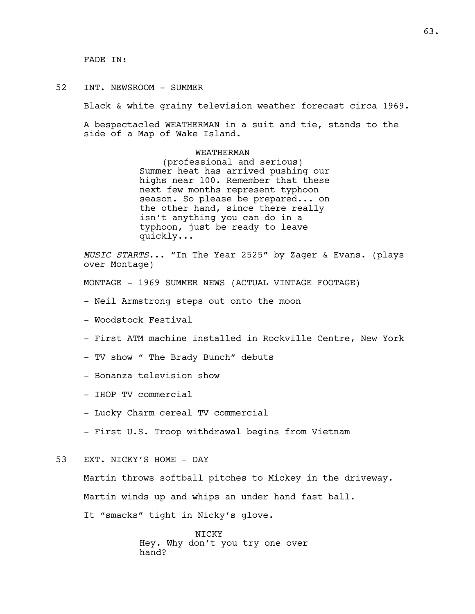FADE IN:

52 INT. NEWSROOM - SUMMER

Black & white grainy television weather forecast circa 1969.

A bespectacled WEATHERMAN in a suit and tie, stands to the side of a Map of Wake Island.

#### WEATHERMAN

(professional and serious) Summer heat has arrived pushing our highs near 100. Remember that these next few months represent typhoon season. So please be prepared... on the other hand, since there really isn't anything you can do in a typhoon, just be ready to leave quickly...

*MUSIC STARTS*... "In The Year 2525" by Zager & Evans. (plays over Montage)

MONTAGE - 1969 SUMMER NEWS (ACTUAL VINTAGE FOOTAGE)

- Neil Armstrong steps out onto the moon
- Woodstock Festival
- First ATM machine installed in Rockville Centre, New York
- TV show " The Brady Bunch" debuts
- Bonanza television show
- IHOP TV commercial
- Lucky Charm cereal TV commercial
- First U.S. Troop withdrawal begins from Vietnam

#### 53 EXT. NICKY'S HOME - DAY

Martin throws softball pitches to Mickey in the driveway. Martin winds up and whips an under hand fast ball.

It "smacks" tight in Nicky's glove.

NICKY Hey. Why don't you try one over hand?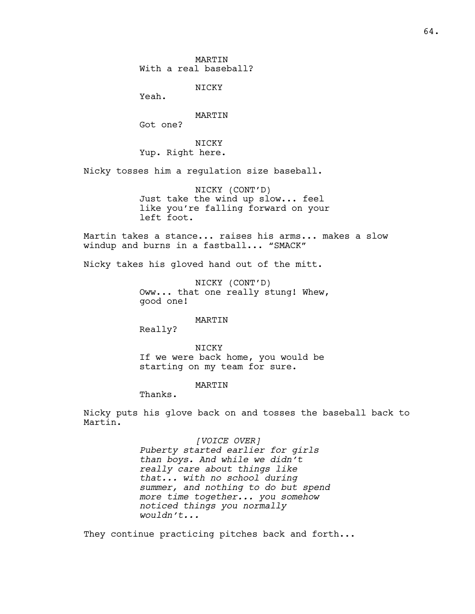MARTIN With a real baseball?

NICKY

Yeah.

MARTIN

Got one?

NICKY Yup. Right here.

Nicky tosses him a regulation size baseball.

NICKY (CONT'D) Just take the wind up slow... feel like you're falling forward on your left foot.

Martin takes a stance... raises his arms... makes a slow windup and burns in a fastball... "SMACK"

Nicky takes his gloved hand out of the mitt.

NICKY (CONT'D) Oww... that one really stung! Whew, good one!

MARTIN

Really?

NICKY If we were back home, you would be starting on my team for sure.

MARTIN

Thanks.

Nicky puts his glove back on and tosses the baseball back to Martin.

> *[VOICE OVER] Puberty started earlier for girls than boys. And while we didn't really care about things like that... with no school during summer, and nothing to do but spend more time together... you somehow noticed things you normally wouldn't...*

They continue practicing pitches back and forth...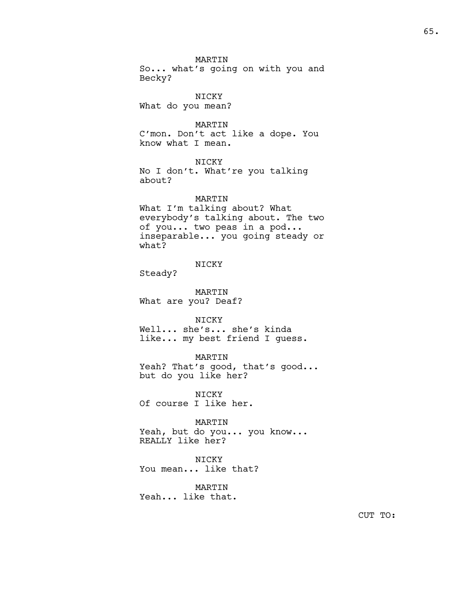MARTIN So... what's going on with you and Becky?

NICKY What do you mean?

MARTIN C'mon. Don't act like a dope. You know what I mean.

## NICKY

No I don't. What're you talking about?

#### MARTIN

What I'm talking about? What everybody's talking about. The two of you... two peas in a pod... inseparable... you going steady or what?

## NICKY

Steady?

MARTIN What are you? Deaf?

NICKY Well... she's... she's kinda like... my best friend I guess.

#### MARTIN

Yeah? That's good, that's good... but do you like her?

NICKY Of course I like her.

MARTIN Yeah, but do you... you know... REALLY like her?

NICKY You mean... like that?

MARTIN Yeah... like that.

CUT TO: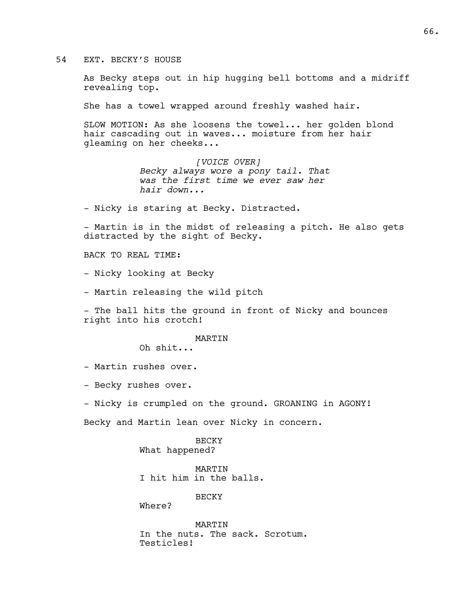#### 54 EXT. BECKY'S HOUSE

As Becky steps out in hip hugging bell bottoms and a midriff revealing top.

She has a towel wrapped around freshly washed hair.

SLOW MOTION: As she loosens the towel... her golden blond hair cascading out in waves... moisture from her hair gleaming on her cheeks...

> *[VOICE OVER] Becky always wore a pony tail. That was the first time we ever saw her hair down...*

- Nicky is staring at Becky. Distracted.

- Martin is in the midst of releasing a pitch. He also gets distracted by the sight of Becky.

BACK TO REAL TIME:

- Nicky looking at Becky

- Martin releasing the wild pitch

- The ball hits the ground in front of Nicky and bounces right into his crotch!

#### MARTIN

Oh shit...

- Martin rushes over.
- Becky rushes over.
- Nicky is crumpled on the ground. GROANING in AGONY!

Becky and Martin lean over Nicky in concern.

## **BECKY** What happened?

MARTIN I hit him in the balls.

BECKY

Where?

MARTIN In the nuts. The sack. Scrotum. Testicles!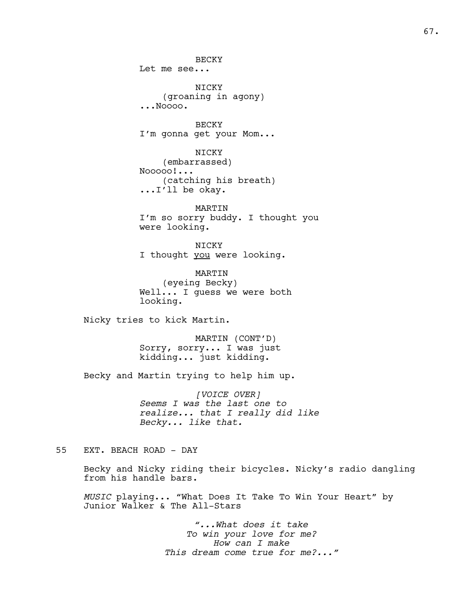BECKY Let me see... NICKY (groaning in agony) ...Noooo. BECKY I'm gonna get your Mom... NICKY (embarrassed) Nooooo!... (catching his breath) ...I'll be okay. MARTIN I'm so sorry buddy. I thought you were looking. NICKY I thought you were looking. MARTIN (eyeing Becky) Well... I guess we were both looking. Nicky tries to kick Martin. MARTIN (CONT'D) Sorry, sorry... I was just kidding... just kidding. Becky and Martin trying to help him up. *[VOICE OVER] Seems I was the last one to realize... that I really did like* 

55 EXT. BEACH ROAD - DAY

Becky and Nicky riding their bicycles. Nicky's radio dangling from his handle bars.

*MUSIC* playing... "What Does It Take To Win Your Heart" by Junior Walker & The All-Stars

*Becky... like that.*

*"...What does it take To win your love for me? How can I make This dream come true for me?..."*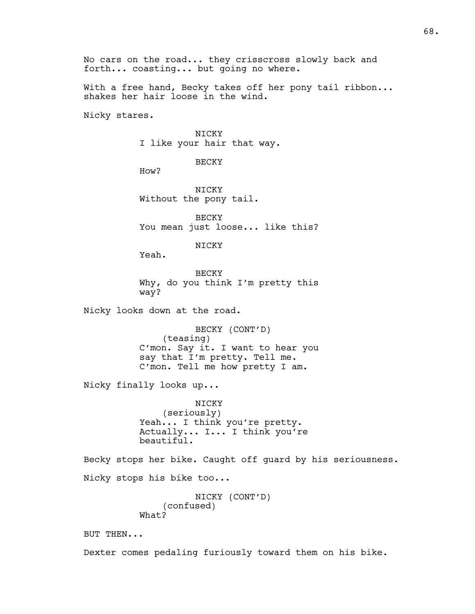No cars on the road... they crisscross slowly back and forth... coasting... but going no where.

With a free hand, Becky takes off her pony tail ribbon... shakes her hair loose in the wind.

Nicky stares.

**NTCKY** I like your hair that way.

BECKY

How?

NICKY Without the pony tail.

BECKY You mean just loose... like this?

NICKY

Yeah.

BECKY Why, do you think I'm pretty this way?

Nicky looks down at the road.

BECKY (CONT'D) (teasing) C'mon. Say it. I want to hear you say that I'm pretty. Tell me. C'mon. Tell me how pretty I am.

Nicky finally looks up...

NICKY (seriously) Yeah... I think you're pretty. Actually... I... I think you're beautiful.

Becky stops her bike. Caught off guard by his seriousness. Nicky stops his bike too...

> NICKY (CONT'D) (confused) What?

BUT THEN...

Dexter comes pedaling furiously toward them on his bike.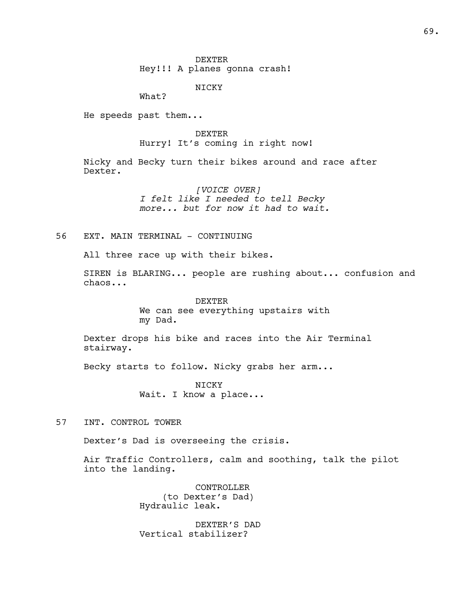NICKY

What?

He speeds past them...

#### **DEXTER**

Hurry! It's coming in right now!

Nicky and Becky turn their bikes around and race after Dexter.

> *[VOICE OVER] I felt like I needed to tell Becky more... but for now it had to wait.*

# 56 EXT. MAIN TERMINAL - CONTINUING

All three race up with their bikes.

SIREN is BLARING... people are rushing about... confusion and chaos...

> DEXTER We can see everything upstairs with my Dad.

Dexter drops his bike and races into the Air Terminal stairway.

Becky starts to follow. Nicky grabs her arm...

NICKY Wait. I know a place...

57 INT. CONTROL TOWER

Dexter's Dad is overseeing the crisis.

Air Traffic Controllers, calm and soothing, talk the pilot into the landing.

> CONTROLLER (to Dexter's Dad) Hydraulic leak.

DEXTER'S DAD Vertical stabilizer?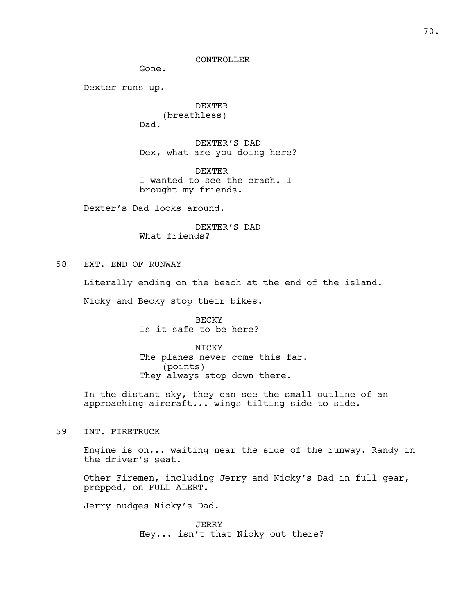CONTROLLER

Gone.

Dexter runs up.

DEXTER (breathless) Dad.

DEXTER'S DAD Dex, what are you doing here?

DEXTER I wanted to see the crash. I brought my friends.

Dexter's Dad looks around.

DEXTER'S DAD What friends?

58 EXT. END OF RUNWAY

Literally ending on the beach at the end of the island.

Nicky and Becky stop their bikes.

BECKY Is it safe to be here?

NICKY The planes never come this far. (points) They always stop down there.

In the distant sky, they can see the small outline of an approaching aircraft... wings tilting side to side.

59 INT. FIRETRUCK

Engine is on... waiting near the side of the runway. Randy in the driver's seat.

Other Firemen, including Jerry and Nicky's Dad in full gear, prepped, on FULL ALERT.

Jerry nudges Nicky's Dad.

JERRY Hey... isn't that Nicky out there?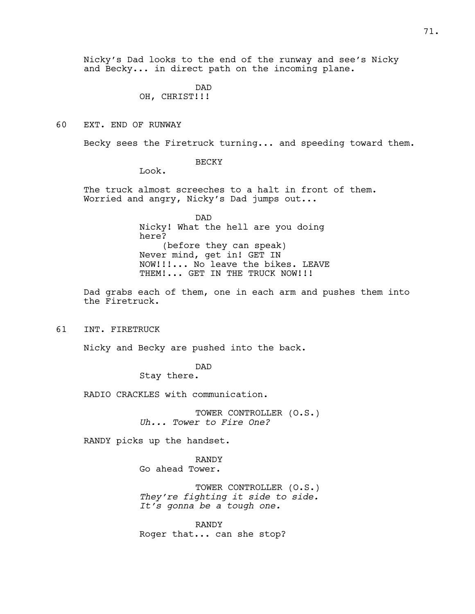Nicky's Dad looks to the end of the runway and see's Nicky and Becky... in direct path on the incoming plane.

> DAD OH, CHRIST!!!

60 EXT. END OF RUNWAY

Becky sees the Firetruck turning... and speeding toward them.

## BECKY

Look.

The truck almost screeches to a halt in front of them. Worried and angry, Nicky's Dad jumps out...

> DAD Nicky! What the hell are you doing here? (before they can speak) Never mind, get in! GET IN NOW!!!... No leave the bikes. LEAVE THEM!... GET IN THE TRUCK NOW!!!

Dad grabs each of them, one in each arm and pushes them into the Firetruck.

61 INT. FIRETRUCK

Nicky and Becky are pushed into the back.

DAD

Stay there.

RADIO CRACKLES with communication.

TOWER CONTROLLER (O.S.) *Uh... Tower to Fire One?*

RANDY picks up the handset.

RANDY Go ahead Tower.

TOWER CONTROLLER (O.S.) *They're fighting it side to side. It's gonna be a tough one.*

RANDY Roger that... can she stop?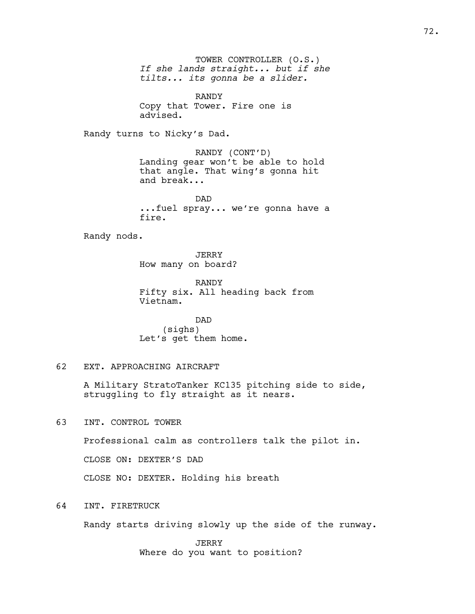TOWER CONTROLLER (O.S.) *If she lands straight... but if she tilts... its gonna be a slider.*

RANDY Copy that Tower. Fire one is advised.

Randy turns to Nicky's Dad.

RANDY (CONT'D) Landing gear won't be able to hold that angle. That wing's gonna hit and break...

DAD ...fuel spray... we're gonna have a fire.

Randy nods.

JERRY How many on board?

RANDY Fifty six. All heading back from Vietnam.

DAD (sighs) Let's get them home.

# 62 EXT. APPROACHING AIRCRAFT

A Military StratoTanker KC135 pitching side to side, struggling to fly straight as it nears.

63 INT. CONTROL TOWER

Professional calm as controllers talk the pilot in.

CLOSE ON: DEXTER'S DAD

CLOSE NO: DEXTER. Holding his breath

64 INT. FIRETRUCK

Randy starts driving slowly up the side of the runway.

JERRY Where do you want to position?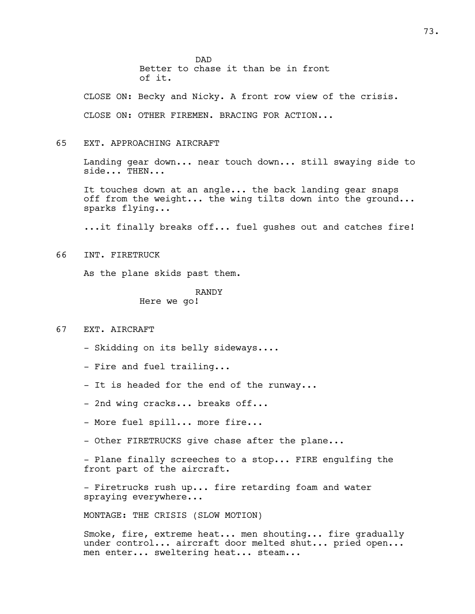DAD Better to chase it than be in front of it.

CLOSE ON: Becky and Nicky. A front row view of the crisis. CLOSE ON: OTHER FIREMEN. BRACING FOR ACTION...

### 65 EXT. APPROACHING AIRCRAFT

Landing gear down... near touch down... still swaying side to side... THEN...

It touches down at an angle... the back landing gear snaps off from the weight... the wing tilts down into the ground... sparks flying...

...it finally breaks off... fuel gushes out and catches fire!

### 66 INT. FIRETRUCK

As the plane skids past them.

RANDY Here we go!

### 67 EXT. AIRCRAFT

- Skidding on its belly sideways....
- Fire and fuel trailing...
- It is headed for the end of the runway...
- 2nd wing cracks... breaks off...
- More fuel spill... more fire...
- Other FIRETRUCKS give chase after the plane...

- Plane finally screeches to a stop... FIRE engulfing the front part of the aircraft.

- Firetrucks rush up... fire retarding foam and water spraying everywhere...

MONTAGE: THE CRISIS (SLOW MOTION)

Smoke, fire, extreme heat... men shouting... fire gradually under control... aircraft door melted shut... pried open... men enter... sweltering heat... steam...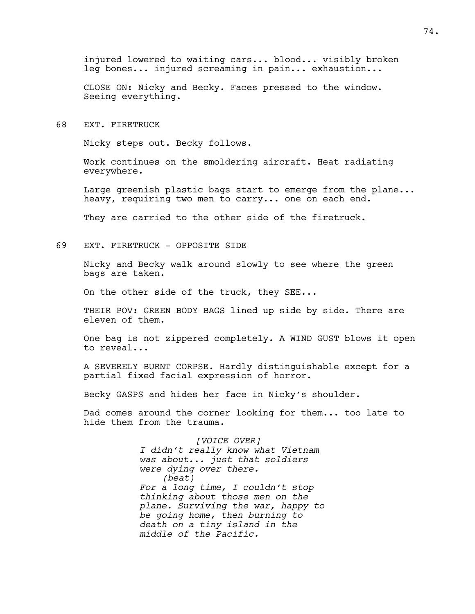injured lowered to waiting cars... blood... visibly broken leg bones... injured screaming in pain... exhaustion...

CLOSE ON: Nicky and Becky. Faces pressed to the window. Seeing everything.

#### 68 EXT. FIRETRUCK

Nicky steps out. Becky follows.

Work continues on the smoldering aircraft. Heat radiating everywhere.

Large greenish plastic bags start to emerge from the plane... heavy, requiring two men to carry... one on each end.

They are carried to the other side of the firetruck.

69 EXT. FIRETRUCK - OPPOSITE SIDE

Nicky and Becky walk around slowly to see where the green bags are taken.

On the other side of the truck, they SEE...

THEIR POV: GREEN BODY BAGS lined up side by side. There are eleven of them.

One bag is not zippered completely. A WIND GUST blows it open to reveal...

A SEVERELY BURNT CORPSE. Hardly distinguishable except for a partial fixed facial expression of horror.

Becky GASPS and hides her face in Nicky's shoulder.

Dad comes around the corner looking for them... too late to hide them from the trauma.

> *[VOICE OVER] I didn't really know what Vietnam was about... just that soldiers were dying over there. (beat) For a long time, I couldn't stop thinking about those men on the plane. Surviving the war, happy to be going home, then burning to death on a tiny island in the middle of the Pacific.*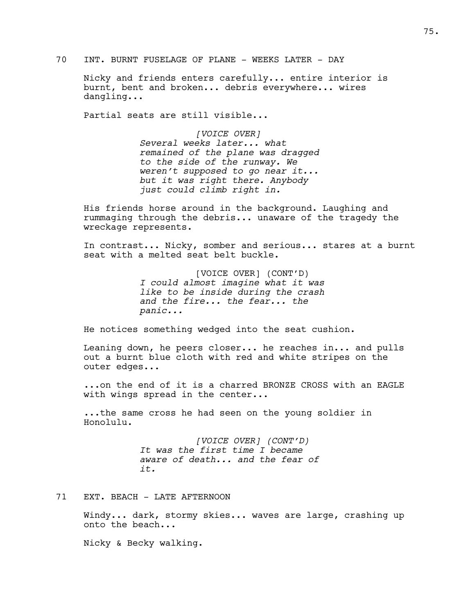### 70 INT. BURNT FUSELAGE OF PLANE - WEEKS LATER - DAY

Nicky and friends enters carefully... entire interior is burnt, bent and broken... debris everywhere... wires dangling...

Partial seats are still visible...

*[VOICE OVER] Several weeks later... what remained of the plane was dragged to the side of the runway. We weren't supposed to go near it... but it was right there. Anybody just could climb right in.*

His friends horse around in the background. Laughing and rummaging through the debris... unaware of the tragedy the wreckage represents.

In contrast... Nicky, somber and serious... stares at a burnt seat with a melted seat belt buckle.

> [VOICE OVER] (CONT'D) *I could almost imagine what it was like to be inside during the crash and the fire... the fear... the panic...*

He notices something wedged into the seat cushion.

Leaning down, he peers closer... he reaches in... and pulls out a burnt blue cloth with red and white stripes on the outer edges...

...on the end of it is a charred BRONZE CROSS with an EAGLE with wings spread in the center...

...the same cross he had seen on the young soldier in Honolulu.

> *[VOICE OVER] (CONT'D) It was the first time I became aware of death... and the fear of it.*

# 71 EXT. BEACH - LATE AFTERNOON

Windy... dark, stormy skies... waves are large, crashing up onto the beach...

Nicky & Becky walking.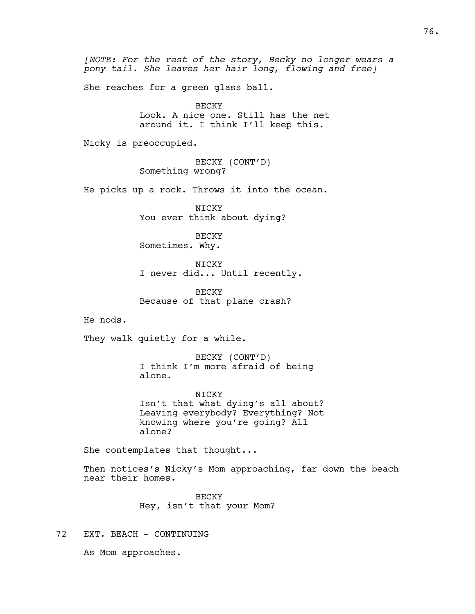*[NOTE: For the rest of the story, Becky no longer wears a pony tail. She leaves her hair long, flowing and free]* She reaches for a green glass ball. BECKY Look. A nice one. Still has the net around it. I think I'll keep this. Nicky is preoccupied. BECKY (CONT'D) Something wrong? He picks up a rock. Throws it into the ocean. NICKY You ever think about dying? BECKY Sometimes. Why. NICKY I never did... Until recently. BECKY Because of that plane crash? He nods. They walk quietly for a while. BECKY (CONT'D) I think I'm more afraid of being alone. NICKY Isn't that what dying's all about? Leaving everybody? Everything? Not knowing where you're going? All alone? She contemplates that thought... Then notices's Nicky's Mom approaching, far down the beach near their homes. BECKY Hey, isn't that your Mom?

72 EXT. BEACH - CONTINUING

As Mom approaches.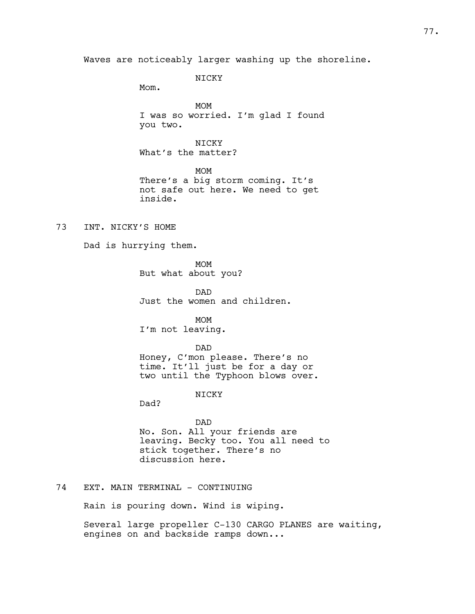Waves are noticeably larger washing up the shoreline.

NICKY

Mom.

MOM I was so worried. I'm glad I found you two.

NICKY What's the matter?

MOM There's a big storm coming. It's not safe out here. We need to get inside.

73 INT. NICKY'S HOME

Dad is hurrying them.

MOM But what about you?

DAD Just the women and children.

MOM I'm not leaving.

DAD Honey, C'mon please. There's no time. It'll just be for a day or two until the Typhoon blows over.

NICKY

Dad?

DAD No. Son. All your friends are leaving. Becky too. You all need to stick together. There's no discussion here.

74 EXT. MAIN TERMINAL - CONTINUING

Rain is pouring down. Wind is wiping.

Several large propeller C-130 CARGO PLANES are waiting, engines on and backside ramps down...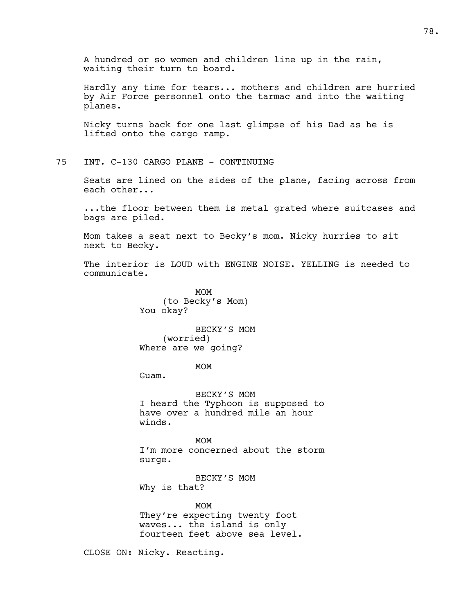A hundred or so women and children line up in the rain, waiting their turn to board.

Hardly any time for tears... mothers and children are hurried by Air Force personnel onto the tarmac and into the waiting planes.

Nicky turns back for one last glimpse of his Dad as he is lifted onto the cargo ramp.

75 INT. C-130 CARGO PLANE - CONTINUING

Seats are lined on the sides of the plane, facing across from each other...

...the floor between them is metal grated where suitcases and bags are piled.

Mom takes a seat next to Becky's mom. Nicky hurries to sit next to Becky.

The interior is LOUD with ENGINE NOISE. YELLING is needed to communicate.

> MOM (to Becky's Mom) You okay?

BECKY'S MOM (worried) Where are we going?

MOM

Guam.

BECKY'S MOM I heard the Typhoon is supposed to have over a hundred mile an hour winds.

MOM I'm more concerned about the storm surge.

BECKY'S MOM Why is that?

MOM They're expecting twenty foot waves... the island is only fourteen feet above sea level.

CLOSE ON: Nicky. Reacting.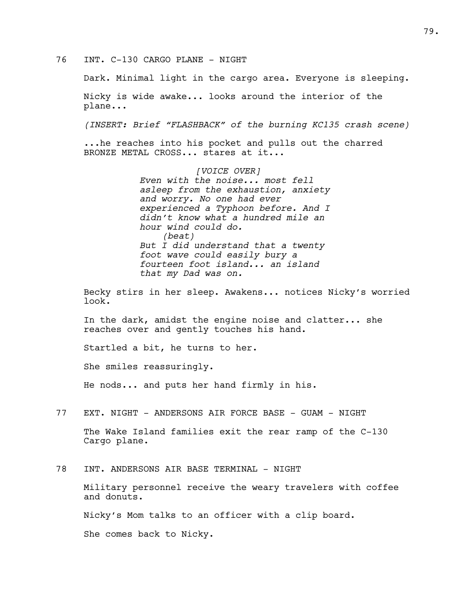76 INT. C-130 CARGO PLANE - NIGHT

Dark. Minimal light in the cargo area. Everyone is sleeping.

Nicky is wide awake... looks around the interior of the plane...

*(INSERT: Brief "FLASHBACK" of the burning KC135 crash scene)*

...he reaches into his pocket and pulls out the charred BRONZE METAL CROSS... stares at it...

> *[VOICE OVER] Even with the noise... most fell asleep from the exhaustion, anxiety and worry. No one had ever experienced a Typhoon before. And I didn't know what a hundred mile an hour wind could do. (beat) But I did understand that a twenty foot wave could easily bury a fourteen foot island... an island that my Dad was on.*

Becky stirs in her sleep. Awakens... notices Nicky's worried look.

In the dark, amidst the engine noise and clatter... she reaches over and gently touches his hand.

Startled a bit, he turns to her.

She smiles reassuringly.

He nods... and puts her hand firmly in his.

77 EXT. NIGHT - ANDERSONS AIR FORCE BASE - GUAM - NIGHT

The Wake Island families exit the rear ramp of the C-130 Cargo plane.

78 INT. ANDERSONS AIR BASE TERMINAL - NIGHT

Military personnel receive the weary travelers with coffee and donuts.

Nicky's Mom talks to an officer with a clip board.

She comes back to Nicky.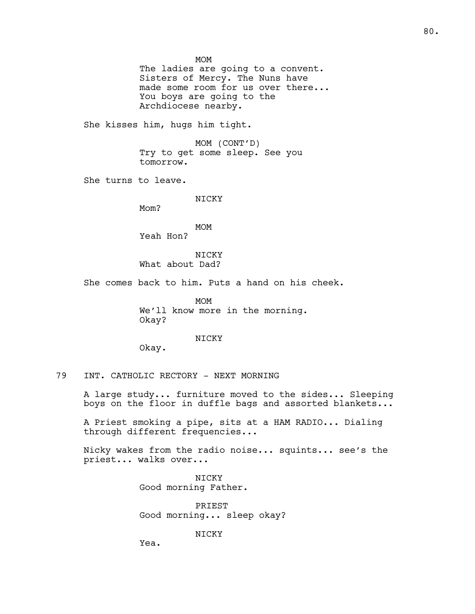MOM The ladies are going to a convent. Sisters of Mercy. The Nuns have made some room for us over there... You boys are going to the Archdiocese nearby.

She kisses him, hugs him tight.

MOM (CONT'D) Try to get some sleep. See you tomorrow.

She turns to leave.

**NTCKY** 

Mom?

MOM

Yeah Hon?

NICKY What about Dad?

She comes back to him. Puts a hand on his cheek.

MOM We'll know more in the morning. Okay?

### NICKY

Okay.

79 INT. CATHOLIC RECTORY - NEXT MORNING

A large study... furniture moved to the sides... Sleeping boys on the floor in duffle bags and assorted blankets...

A Priest smoking a pipe, sits at a HAM RADIO... Dialing through different frequencies...

Nicky wakes from the radio noise... squints... see's the priest... walks over...

> NICKY Good morning Father.

PRIEST Good morning... sleep okay?

NICKY

Yea.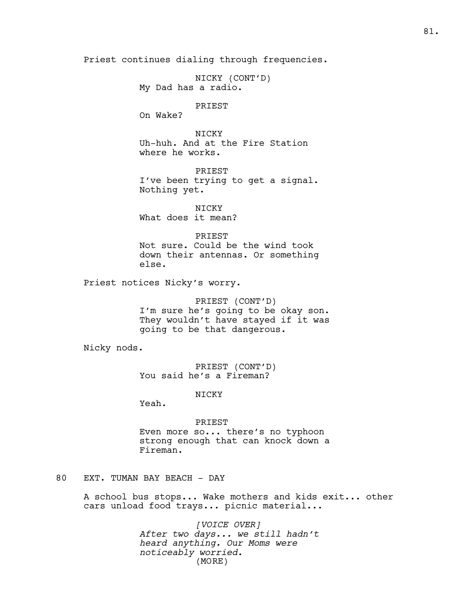Priest continues dialing through frequencies.

NICKY (CONT'D) My Dad has a radio.

PRIEST

On Wake?

**NTCKY** Uh-huh. And at the Fire Station where he works.

PRIEST I've been trying to get a signal. Nothing yet.

NICKY What does it mean?

PRIEST Not sure. Could be the wind took down their antennas. Or something else.

Priest notices Nicky's worry.

PRIEST (CONT'D) I'm sure he's going to be okay son. They wouldn't have stayed if it was going to be that dangerous.

Nicky nods.

PRIEST (CONT'D) You said he's a Fireman?

NICKY

Yeah.

PRIEST Even more so... there's no typhoon strong enough that can knock down a Fireman.

80 EXT. TUMAN BAY BEACH - DAY

A school bus stops... Wake mothers and kids exit... other cars unload food trays... picnic material...

> *[VOICE OVER] After two days... we still hadn't heard anything. Our Moms were noticeably worried.*  (MORE)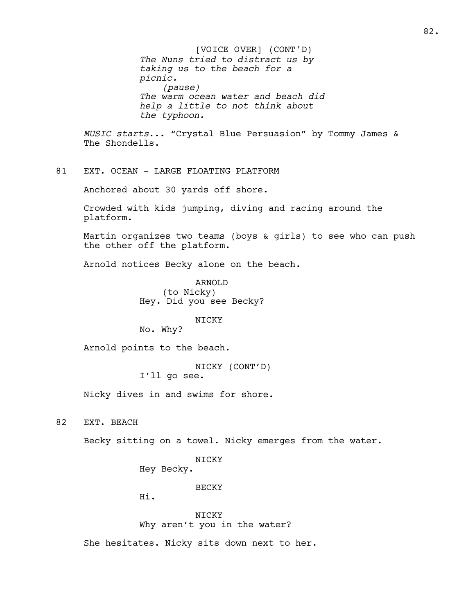*The Nuns tried to distract us by taking us to the beach for a picnic. (pause) The warm ocean water and beach did help a little to not think about the typhoon.* [VOICE OVER] (CONT'D)

*MUSIC starts*... "Crystal Blue Persuasion" by Tommy James & The Shondells.

81 EXT. OCEAN - LARGE FLOATING PLATFORM

Anchored about 30 yards off shore.

Crowded with kids jumping, diving and racing around the platform.

Martin organizes two teams (boys & girls) to see who can push the other off the platform.

Arnold notices Becky alone on the beach.

ARNOLD (to Nicky) Hey. Did you see Becky?

# NICKY

No. Why?

Arnold points to the beach.

NICKY (CONT'D) I'll go see.

Nicky dives in and swims for shore.

82 EXT. BEACH

Becky sitting on a towel. Nicky emerges from the water.

NICKY

Hey Becky.

### BECKY

Hi.

NICKY Why aren't you in the water?

She hesitates. Nicky sits down next to her.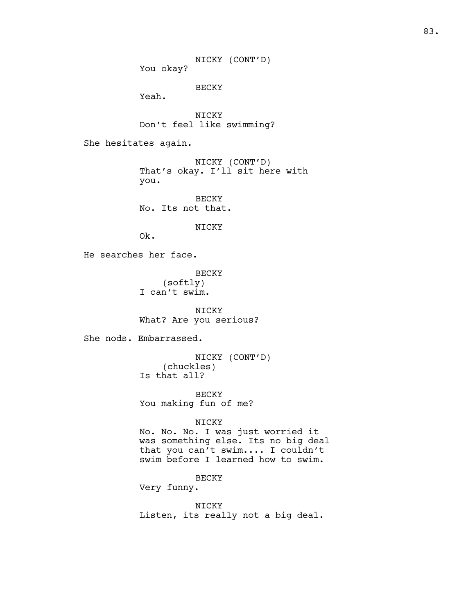You okay? BECKY Yeah. NICKY Don't feel like swimming? She hesitates again. NICKY (CONT'D) That's okay. I'll sit here with you. BECKY No. Its not that. NICKY Ok. He searches her face. BECKY (softly) I can't swim. NICKY What? Are you serious? She nods. Embarrassed. NICKY (CONT'D) (chuckles) Is that all? BECKY You making fun of me? NICKY No. No. No. I was just worried it was something else. Its no big deal that you can't swim.... I couldn't swim before I learned how to swim. BECKY Very funny. NICKY Listen, its really not a big deal.

NICKY (CONT'D)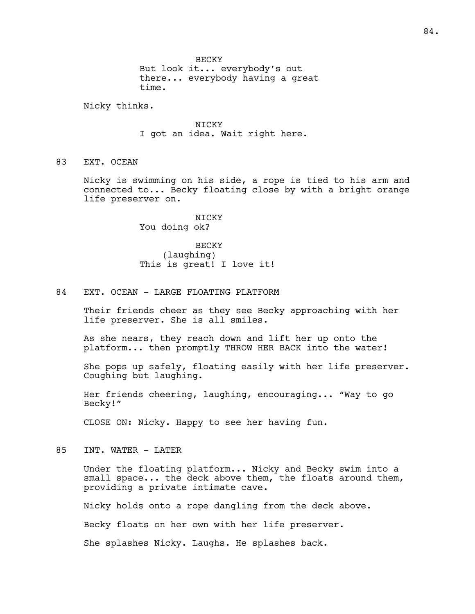BECKY

But look it... everybody's out there... everybody having a great time.

Nicky thinks.

NICKY I got an idea. Wait right here.

83 EXT. OCEAN

Nicky is swimming on his side, a rope is tied to his arm and connected to... Becky floating close by with a bright orange life preserver on.

> NICKY You doing ok?

BECKY (laughing) This is great! I love it!

# 84 EXT. OCEAN - LARGE FLOATING PLATFORM

Their friends cheer as they see Becky approaching with her life preserver. She is all smiles.

As she nears, they reach down and lift her up onto the platform... then promptly THROW HER BACK into the water!

She pops up safely, floating easily with her life preserver. Coughing but laughing.

Her friends cheering, laughing, encouraging... "Way to go Becky!"

CLOSE ON: Nicky. Happy to see her having fun.

85 INT. WATER - LATER

Under the floating platform... Nicky and Becky swim into a small space... the deck above them, the floats around them, providing a private intimate cave.

Nicky holds onto a rope dangling from the deck above.

Becky floats on her own with her life preserver.

She splashes Nicky. Laughs. He splashes back.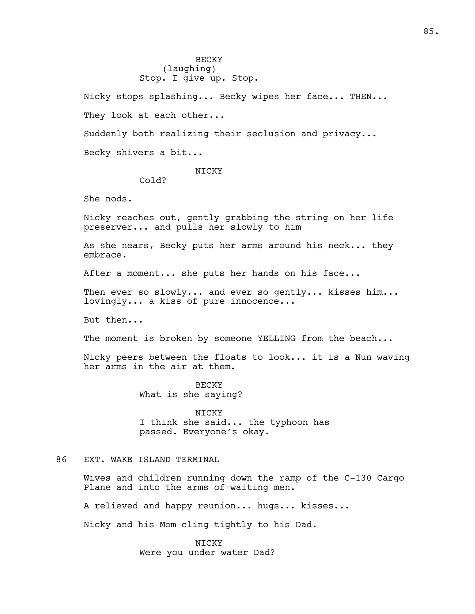# **BECKY** (laughing) Stop. I give up. Stop.

Nicky stops splashing... Becky wipes her face... THEN... They look at each other... Suddenly both realizing their seclusion and privacy... Becky shivers a bit... NICKY Cold?

She nods.

Nicky reaches out, gently grabbing the string on her life preserver... and pulls her slowly to him

As she nears, Becky puts her arms around his neck... they embrace.

After a moment... she puts her hands on his face...

Then ever so slowly... and ever so gently... kisses him... lovingly... a kiss of pure innocence...

But then...

The moment is broken by someone YELLING from the beach...

Nicky peers between the floats to look... it is a Nun waving her arms in the air at them.

> BECKY What is she saying?

NICKY I think she said... the typhoon has passed. Everyone's okay.

## 86 EXT. WAKE ISLAND TERMINAL

Wives and children running down the ramp of the C-130 Cargo Plane and into the arms of waiting men.

A relieved and happy reunion... hugs... kisses...

Nicky and his Mom cling tightly to his Dad.

**NTCKY** Were you under water Dad?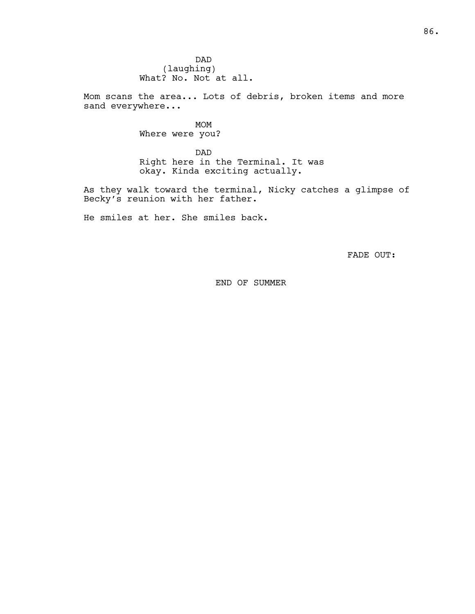DAD (laughing) What? No. Not at all.

Mom scans the area... Lots of debris, broken items and more sand everywhere...

> MOM Where were you?

DAD Right here in the Terminal. It was okay. Kinda exciting actually.

As they walk toward the terminal, Nicky catches a glimpse of Becky's reunion with her father.

He smiles at her. She smiles back.

FADE OUT:

END OF SUMMER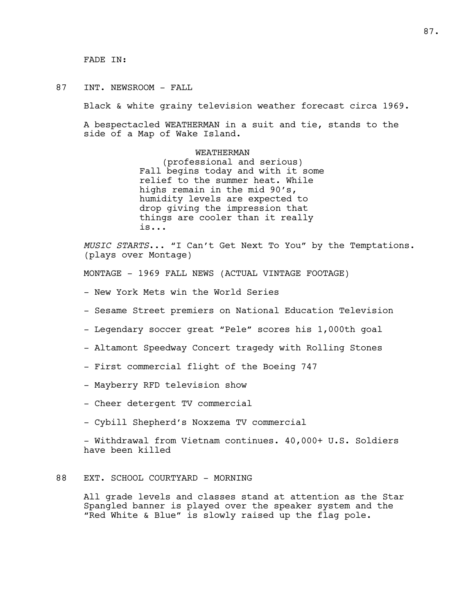FADE IN:

87 INT. NEWSROOM - FALL

Black & white grainy television weather forecast circa 1969.

A bespectacled WEATHERMAN in a suit and tie, stands to the side of a Map of Wake Island.

> WEATHERMAN (professional and serious) Fall begins today and with it some relief to the summer heat. While highs remain in the mid 90's, humidity levels are expected to drop giving the impression that things are cooler than it really is...

*MUSIC STARTS*... "I Can't Get Next To You" by the Temptations. (plays over Montage)

MONTAGE - 1969 FALL NEWS (ACTUAL VINTAGE FOOTAGE)

- New York Mets win the World Series
- Sesame Street premiers on National Education Television
- Legendary soccer great "Pele" scores his 1,000th goal
- Altamont Speedway Concert tragedy with Rolling Stones
- First commercial flight of the Boeing 747
- Mayberry RFD television show
- Cheer detergent TV commercial
- Cybill Shepherd's Noxzema TV commercial

- Withdrawal from Vietnam continues. 40,000+ U.S. Soldiers have been killed

# 88 EXT. SCHOOL COURTYARD - MORNING

All grade levels and classes stand at attention as the Star Spangled banner is played over the speaker system and the "Red White & Blue" is slowly raised up the flag pole.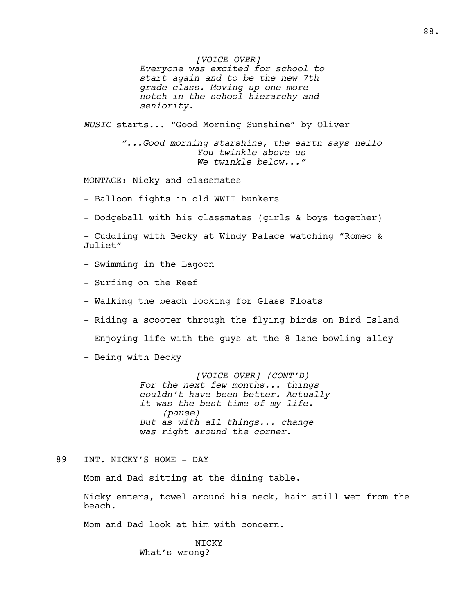*[VOICE OVER] Everyone was excited for school to start again and to be the new 7th grade class. Moving up one more notch in the school hierarchy and seniority.*

*MUSIC* starts... "Good Morning Sunshine" by Oliver

*"...Good morning starshine, the earth says hello You twinkle above us We twinkle below..."*

MONTAGE: Nicky and classmates

- Balloon fights in old WWII bunkers

- Dodgeball with his classmates (girls & boys together)
- Cuddling with Becky at Windy Palace watching "Romeo & Juliet"
- Swimming in the Lagoon
- Surfing on the Reef
- Walking the beach looking for Glass Floats
- Riding a scooter through the flying birds on Bird Island
- Enjoying life with the guys at the 8 lane bowling alley
- Being with Becky

*[VOICE OVER] (CONT'D) For the next few months... things couldn't have been better. Actually it was the best time of my life. (pause) But as with all things... change was right around the corner.*

89 INT. NICKY'S HOME - DAY

Mom and Dad sitting at the dining table.

Nicky enters, towel around his neck, hair still wet from the beach.

Mom and Dad look at him with concern.

**NTCKY** What's wrong?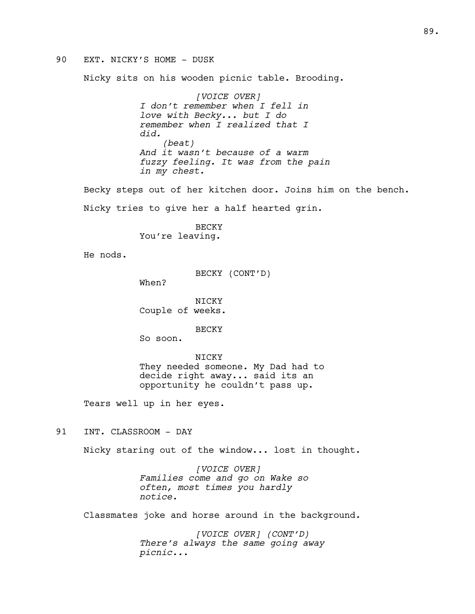## 90 EXT. NICKY'S HOME - DUSK

Nicky sits on his wooden picnic table. Brooding.

*[VOICE OVER] I don't remember when I fell in love with Becky... but I do remember when I realized that I did. (beat) And it wasn't because of a warm fuzzy feeling. It was from the pain in my chest.*

Becky steps out of her kitchen door. Joins him on the bench.

Nicky tries to give her a half hearted grin.

BECKY You're leaving.

He nods.

BECKY (CONT'D)

When?

NICKY Couple of weeks.

BECKY

So soon.

NICKY They needed someone. My Dad had to decide right away... said its an opportunity he couldn't pass up.

Tears well up in her eyes.

91 INT. CLASSROOM - DAY

Nicky staring out of the window... lost in thought.

*[VOICE OVER] Families come and go on Wake so often, most times you hardly notice.*

Classmates joke and horse around in the background.

*[VOICE OVER] (CONT'D) There's always the same going away picnic...*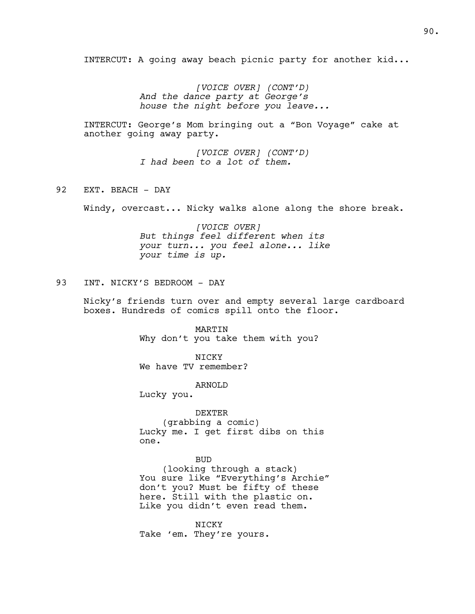INTERCUT: A going away beach picnic party for another kid...

*[VOICE OVER] (CONT'D) And the dance party at George's house the night before you leave...*

INTERCUT: George's Mom bringing out a "Bon Voyage" cake at another going away party.

> *[VOICE OVER] (CONT'D) I had been to a lot of them.*

92 EXT. BEACH - DAY

Windy, overcast... Nicky walks alone along the shore break.

*[VOICE OVER] But things feel different when its your turn... you feel alone... like your time is up.*

93 INT. NICKY'S BEDROOM - DAY

Nicky's friends turn over and empty several large cardboard boxes. Hundreds of comics spill onto the floor.

> MARTIN Why don't you take them with you?

NICKY We have TV remember?

ARNOLD

Lucky you.

#### DEXTER

(grabbing a comic) Lucky me. I get first dibs on this one.

BUD

(looking through a stack) You sure like "Everything's Archie" don't you? Must be fifty of these here. Still with the plastic on. Like you didn't even read them.

NICKY Take 'em. They're yours.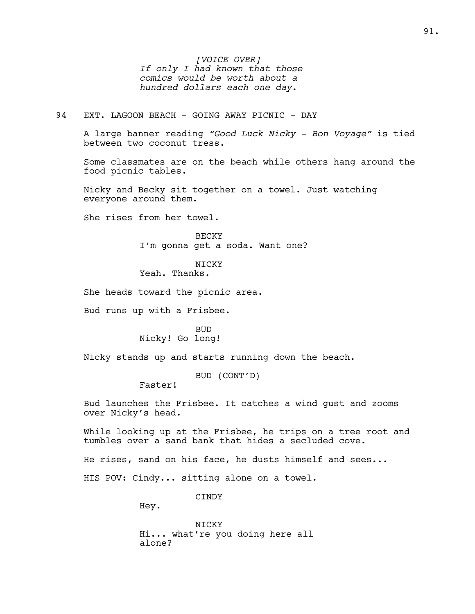*[VOICE OVER] If only I had known that those comics would be worth about a hundred dollars each one day.*

94 EXT. LAGOON BEACH - GOING AWAY PICNIC - DAY

A large banner reading *"Good Luck Nicky - Bon Voyage"* is tied between two coconut tress.

Some classmates are on the beach while others hang around the food picnic tables.

Nicky and Becky sit together on a towel. Just watching everyone around them.

She rises from her towel.

BECKY I'm gonna get a soda. Want one?

# NICKY

Yeah. Thanks.

She heads toward the picnic area.

Bud runs up with a Frisbee.

BUD Nicky! Go long!

Nicky stands up and starts running down the beach.

BUD (CONT'D)

Faster!

Bud launches the Frisbee. It catches a wind gust and zooms over Nicky's head.

While looking up at the Frisbee, he trips on a tree root and tumbles over a sand bank that hides a secluded cove.

He rises, sand on his face, he dusts himself and sees...

HIS POV: Cindy... sitting alone on a towel.

CINDY

Hey.

**NTCKY** Hi... what're you doing here all alone?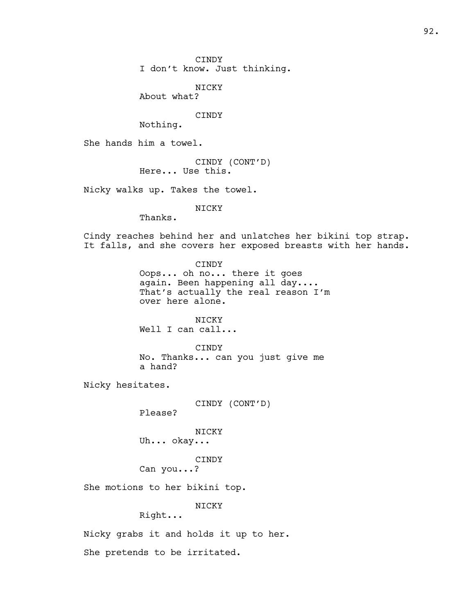CINDY

I don't know. Just thinking.

NICKY

About what?

CINDY

Nothing.

She hands him a towel.

CINDY (CONT'D) Here... Use this.

Nicky walks up. Takes the towel.

NICKY

Thanks.

Cindy reaches behind her and unlatches her bikini top strap. It falls, and she covers her exposed breasts with her hands.

> CINDY Oops... oh no... there it goes again. Been happening all day.... That's actually the real reason I'm over here alone.

NICKY Well I can call...

CINDY No. Thanks... can you just give me a hand?

Nicky hesitates.

CINDY (CONT'D)

Please?

NICKY Uh... okay...

CINDY

Can you...?

She motions to her bikini top.

NICKY

Right...

Nicky grabs it and holds it up to her.

She pretends to be irritated.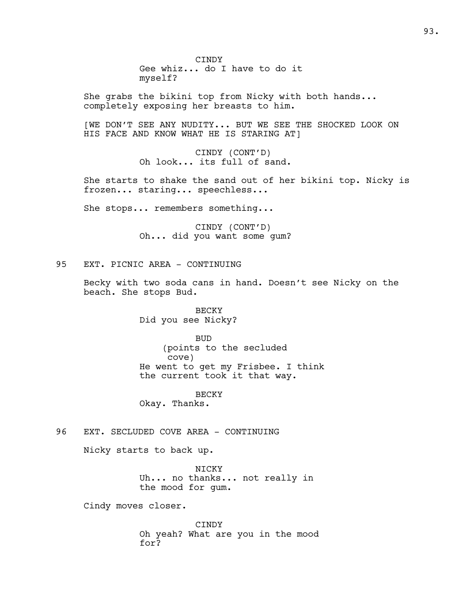CINDY Gee whiz... do I have to do it myself?

She grabs the bikini top from Nicky with both hands... completely exposing her breasts to him.

[WE DON'T SEE ANY NUDITY... BUT WE SEE THE SHOCKED LOOK ON HIS FACE AND KNOW WHAT HE IS STARING AT]

> CINDY (CONT'D) Oh look... its full of sand.

She starts to shake the sand out of her bikini top. Nicky is frozen... staring... speechless...

She stops... remembers something...

CINDY (CONT'D) Oh... did you want some gum?

### 95 EXT. PICNIC AREA - CONTINUING

Becky with two soda cans in hand. Doesn't see Nicky on the beach. She stops Bud.

> BECKY Did you see Nicky?

BUD (points to the secluded cove) He went to get my Frisbee. I think the current took it that way.

BECKY Okay. Thanks.

# 96 EXT. SECLUDED COVE AREA - CONTINUING

Nicky starts to back up.

NICKY Uh... no thanks... not really in the mood for gum.

Cindy moves closer.

CINDY Oh yeah? What are you in the mood for?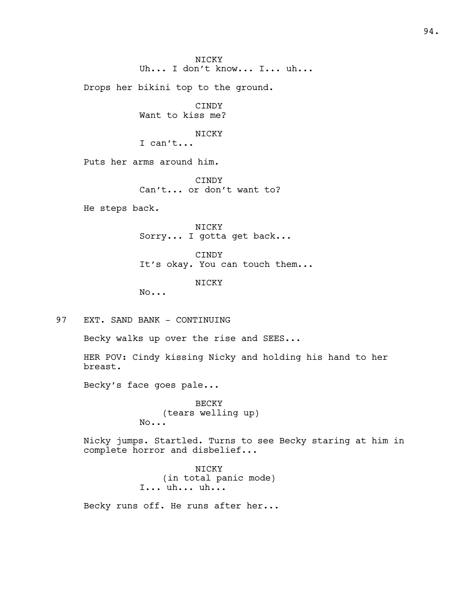NICKY Uh... I don't know... I... uh... Drops her bikini top to the ground. CINDY Want to kiss me? **NTCKY** I can't... Puts her arms around him. CINDY Can't... or don't want to? He steps back. NICKY Sorry... I gotta get back... CINDY It's okay. You can touch them... NICKY No... 97 EXT. SAND BANK - CONTINUING

Becky walks up over the rise and SEES...

HER POV: Cindy kissing Nicky and holding his hand to her breast.

Becky's face goes pale...

BECKY (tears welling up) No...

Nicky jumps. Startled. Turns to see Becky staring at him in complete horror and disbelief...

> NICKY (in total panic mode) I... uh... uh...

Becky runs off. He runs after her...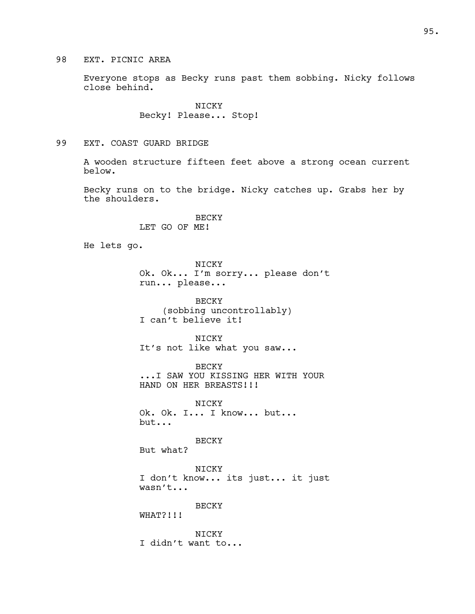### 98 EXT. PICNIC AREA

Everyone stops as Becky runs past them sobbing. Nicky follows close behind.

> NICKY Becky! Please... Stop!

99 EXT. COAST GUARD BRIDGE

A wooden structure fifteen feet above a strong ocean current below.

Becky runs on to the bridge. Nicky catches up. Grabs her by the shoulders.

> BECKY LET GO OF ME!

He lets go.

NICKY Ok. Ok... I'm sorry... please don't run... please...

BECKY (sobbing uncontrollably) I can't believe it!

**NTCKY** It's not like what you saw...

BECKY ...I SAW YOU KISSING HER WITH YOUR HAND ON HER BREASTS!!!

**NTCKY** Ok. Ok. I... I know... but... but...

BECKY But what?

NICKY I don't know... its just... it just wasn't...

BECKY

WHAT?!!!

NICKY I didn't want to...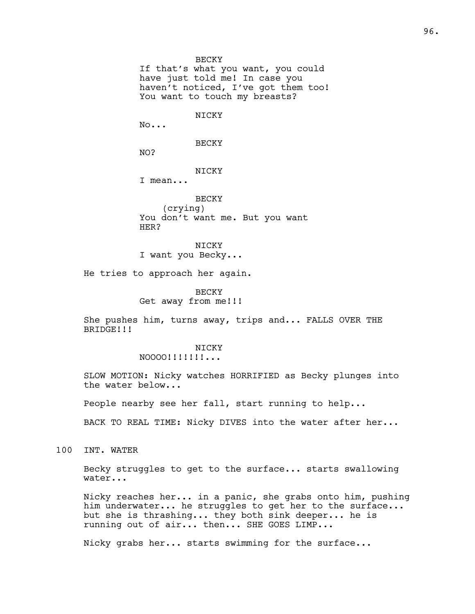BECKY If that's what you want, you could have just told me! In case you haven't noticed, I've got them too! You want to touch my breasts?

NICKY

No...

BECKY

NO?

NICKY

I mean...

BECKY (crying) You don't want me. But you want HER?

NICKY I want you Becky...

He tries to approach her again.

BECKY Get away from me!!!

She pushes him, turns away, trips and... FALLS OVER THE BRIDGE!!!

> NICKY NOOOO!!!!!!!...

SLOW MOTION: Nicky watches HORRIFIED as Becky plunges into the water below...

People nearby see her fall, start running to help...

BACK TO REAL TIME: Nicky DIVES into the water after her...

100 INT. WATER

Becky struggles to get to the surface... starts swallowing water...

Nicky reaches her... in a panic, she grabs onto him, pushing him underwater... he struggles to get her to the surface... but she is thrashing... they both sink deeper... he is running out of air... then... SHE GOES LIMP...

Nicky grabs her... starts swimming for the surface...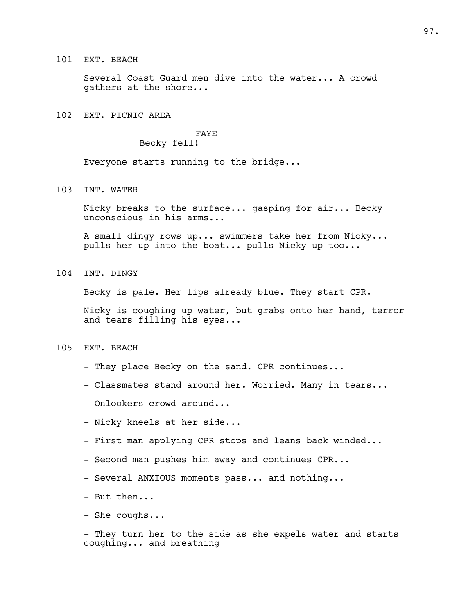### 101 EXT. BEACH

Several Coast Guard men dive into the water... A crowd gathers at the shore...

102 EXT. PICNIC AREA

### FAYE Becky fell!

Everyone starts running to the bridge...

# 103 INT. WATER

Nicky breaks to the surface... gasping for air... Becky unconscious in his arms...

A small dingy rows up... swimmers take her from Nicky... pulls her up into the boat... pulls Nicky up too...

104 INT. DINGY

Becky is pale. Her lips already blue. They start CPR.

Nicky is coughing up water, but grabs onto her hand, terror and tears filling his eyes...

# 105 EXT. BEACH

- They place Becky on the sand. CPR continues...
- Classmates stand around her. Worried. Many in tears...
- Onlookers crowd around...
- Nicky kneels at her side...
- First man applying CPR stops and leans back winded...
- Second man pushes him away and continues CPR...
- Several ANXIOUS moments pass... and nothing...
- But then...
- She coughs...

- They turn her to the side as she expels water and starts coughing... and breathing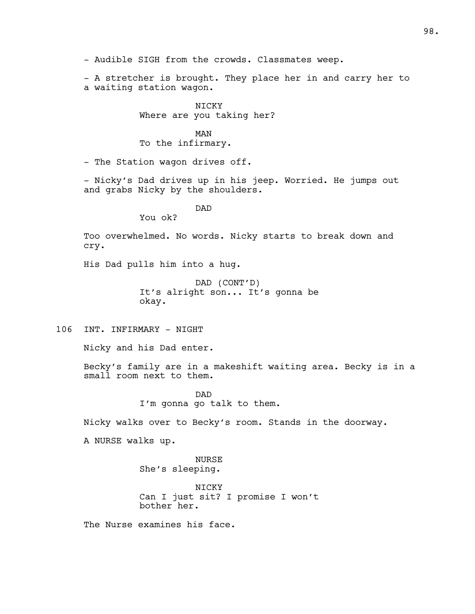- Audible SIGH from the crowds. Classmates weep.

- A stretcher is brought. They place her in and carry her to a waiting station wagon.

> NICKY Where are you taking her?

## MAN To the infirmary.

- The Station wagon drives off.

- Nicky's Dad drives up in his jeep. Worried. He jumps out and grabs Nicky by the shoulders.

DAD

You ok?

Too overwhelmed. No words. Nicky starts to break down and cry.

His Dad pulls him into a hug.

DAD (CONT'D) It's alright son... It's gonna be okay.

106 INT. INFIRMARY - NIGHT

Nicky and his Dad enter.

Becky's family are in a makeshift waiting area. Becky is in a small room next to them.

> DAD I'm gonna go talk to them.

Nicky walks over to Becky's room. Stands in the doorway.

A NURSE walks up.

**NURSE** She's sleeping.

NICKY Can I just sit? I promise I won't bother her.

The Nurse examines his face.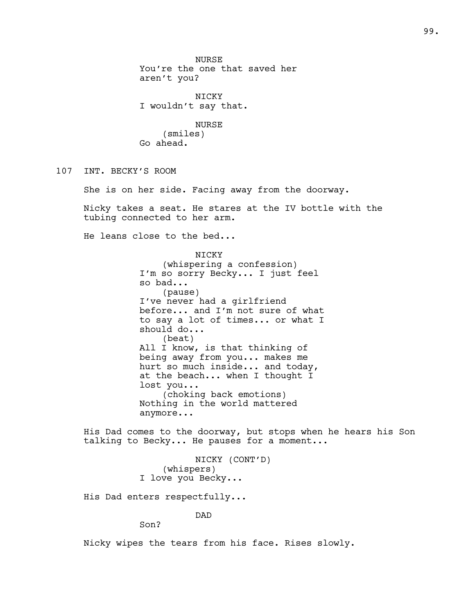NURSE You're the one that saved her aren't you?

NICKY I wouldn't say that.

NURSE (smiles) Go ahead.

107 INT. BECKY'S ROOM

She is on her side. Facing away from the doorway.

Nicky takes a seat. He stares at the IV bottle with the tubing connected to her arm.

He leans close to the bed...

NICKY (whispering a confession) I'm so sorry Becky... I just feel so bad... (pause) I've never had a girlfriend before... and I'm not sure of what to say a lot of times... or what I should do... (beat) All I know, is that thinking of being away from you... makes me hurt so much inside... and today, at the beach... when I thought I lost you... (choking back emotions) Nothing in the world mattered anymore...

His Dad comes to the doorway, but stops when he hears his Son talking to Becky... He pauses for a moment...

> NICKY (CONT'D) (whispers) I love you Becky...

His Dad enters respectfully...

DAD

Son?

Nicky wipes the tears from his face. Rises slowly.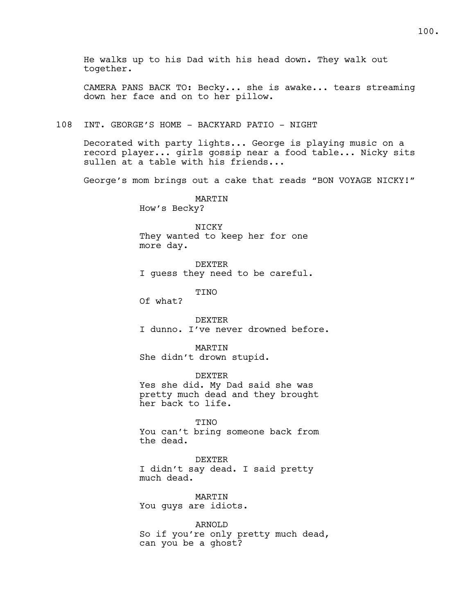He walks up to his Dad with his head down. They walk out together.

CAMERA PANS BACK TO: Becky... she is awake... tears streaming down her face and on to her pillow.

### 108 INT. GEORGE'S HOME - BACKYARD PATIO - NIGHT

Decorated with party lights... George is playing music on a record player... girls gossip near a food table... Nicky sits sullen at a table with his friends...

George's mom brings out a cake that reads "BON VOYAGE NICKY!"

MARTIN How's Becky?

NICKY They wanted to keep her for one more day.

DEXTER I guess they need to be careful.

TINO

Of what?

DEXTER I dunno. I've never drowned before.

MARTIN She didn't drown stupid.

DEXTER Yes she did. My Dad said she was pretty much dead and they brought her back to life.

TINO You can't bring someone back from the dead.

DEXTER I didn't say dead. I said pretty much dead.

MARTIN You guys are idiots.

ARNOLD So if you're only pretty much dead, can you be a ghost?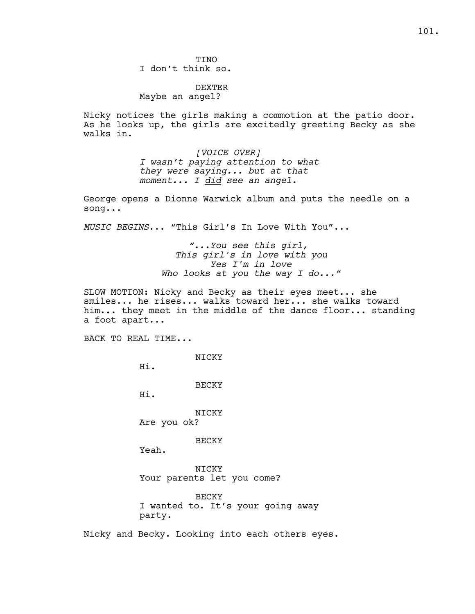# DEXTER Maybe an angel?

Nicky notices the girls making a commotion at the patio door. As he looks up, the girls are excitedly greeting Becky as she walks in.

> *[VOICE OVER] I wasn't paying attention to what they were saying... but at that moment... I did see an angel.*

George opens a Dionne Warwick album and puts the needle on a song...

*MUSIC BEGINS*... "This Girl's In Love With You"...

*"...You see this girl, This girl's in love with you Yes I'm in love Who looks at you the way I do..."*

SLOW MOTION: Nicky and Becky as their eyes meet... she smiles... he rises... walks toward her... she walks toward him... they meet in the middle of the dance floor... standing a foot apart...

BACK TO REAL TIME...

NICKY

Hi.

BECKY

Hi.

NICKY Are you ok?

**BECKY** 

Yeah.

NICKY Your parents let you come?

BECKY I wanted to. It's your going away party.

Nicky and Becky. Looking into each others eyes.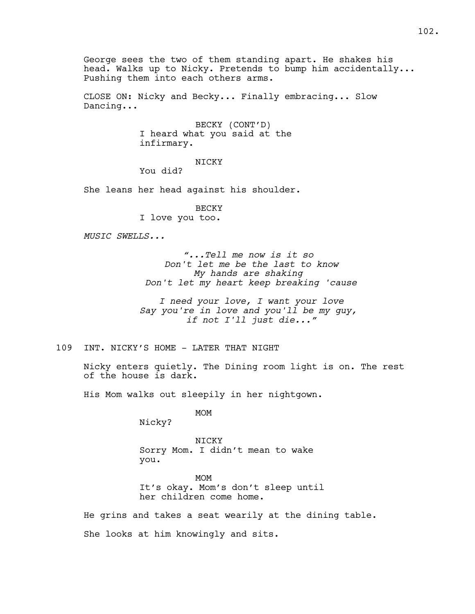George sees the two of them standing apart. He shakes his head. Walks up to Nicky. Pretends to bump him accidentally... Pushing them into each others arms.

CLOSE ON: Nicky and Becky... Finally embracing... Slow Dancing...

> BECKY (CONT'D) I heard what you said at the infirmary.

### NICKY

You did?

She leans her head against his shoulder.

### BECKY

I love you too.

*MUSIC SWELLS...*

*"...Tell me now is it so Don't let me be the last to know My hands are shaking Don't let my heart keep breaking 'cause*

*I need your love, I want your love Say you're in love and you'll be my guy, if not I'll just die..."*

109 INT. NICKY'S HOME - LATER THAT NIGHT

Nicky enters quietly. The Dining room light is on. The rest of the house is dark.

His Mom walks out sleepily in her nightgown.

MOM

Nicky?

**NTCKY** Sorry Mom. I didn't mean to wake you.

MOM It's okay. Mom's don't sleep until her children come home.

He grins and takes a seat wearily at the dining table. She looks at him knowingly and sits.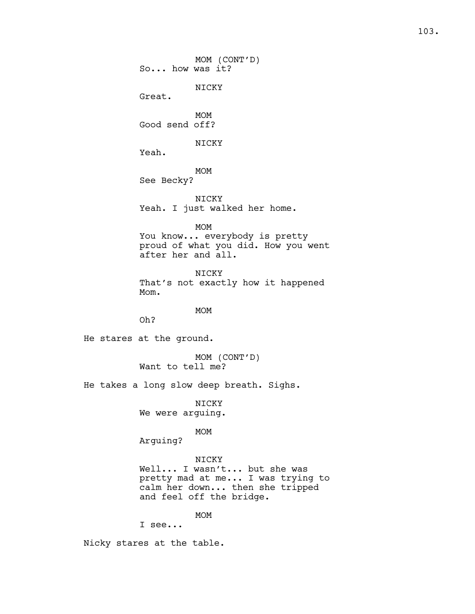MOM (CONT'D) So... how was it? NICKY Great. MOM Good send off? NICKY Yeah. MOM See Becky? NICKY Yeah. I just walked her home. MOM You know... everybody is pretty proud of what you did. How you went after her and all. NICKY That's not exactly how it happened Mom. MOM Oh? He stares at the ground. MOM (CONT'D) Want to tell me? He takes a long slow deep breath. Sighs. NICKY We were arguing. MOM Arguing? NICKY Well... I wasn't... but she was pretty mad at me... I was trying to calm her down... then she tripped and feel off the bridge. MOM I see...

Nicky stares at the table.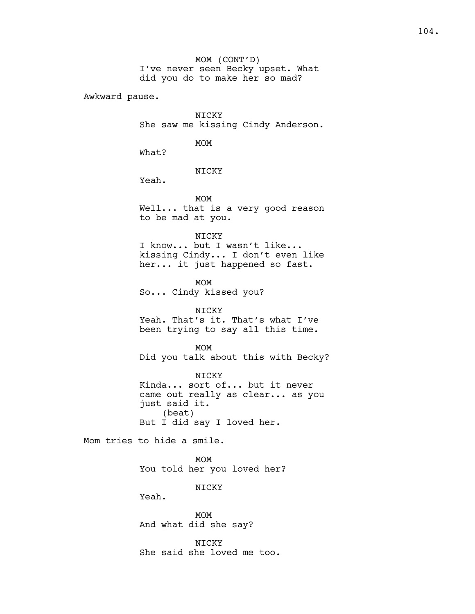MOM (CONT'D) I've never seen Becky upset. What did you do to make her so mad?

Awkward pause.

NICKY She saw me kissing Cindy Anderson.

MOM

What?

NICKY

Yeah.

MOM Well... that is a very good reason to be mad at you.

NICKY

I know... but I wasn't like... kissing Cindy... I don't even like her... it just happened so fast.

MOM So... Cindy kissed you?

NICKY Yeah. That's it. That's what I've been trying to say all this time.

MOM Did you talk about this with Becky?

NICKY Kinda... sort of... but it never came out really as clear... as you just said it. (beat) But I did say I loved her.

Mom tries to hide a smile.

MOM You told her you loved her?

NICKY

Yeah.

MOM And what did she say?

**NTCKY** She said she loved me too.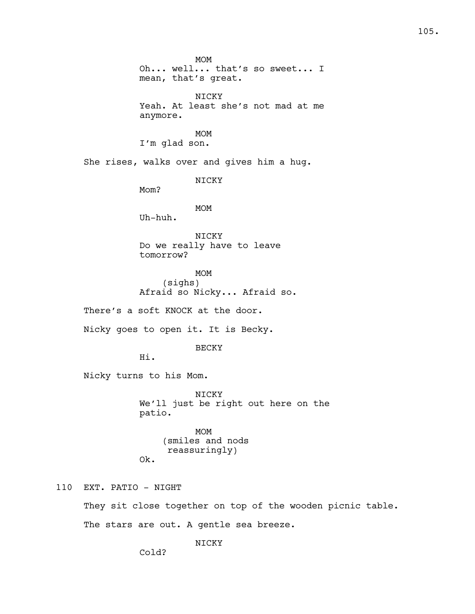MOM Oh... well... that's so sweet... I mean, that's great. NICKY Yeah. At least she's not mad at me anymore. MOM I'm glad son. She rises, walks over and gives him a hug. NICKY Mom? MOM Uh-huh. NICKY Do we really have to leave tomorrow? MOM (sighs) Afraid so Nicky... Afraid so. There's a soft KNOCK at the door. Nicky goes to open it. It is Becky. BECKY Hi. Nicky turns to his Mom. NICKY We'll just be right out here on the patio. MOM (smiles and nods reassuringly) Ok. 110 EXT. PATIO - NIGHT

They sit close together on top of the wooden picnic table. The stars are out. A gentle sea breeze.

**NTCKY** 

Cold?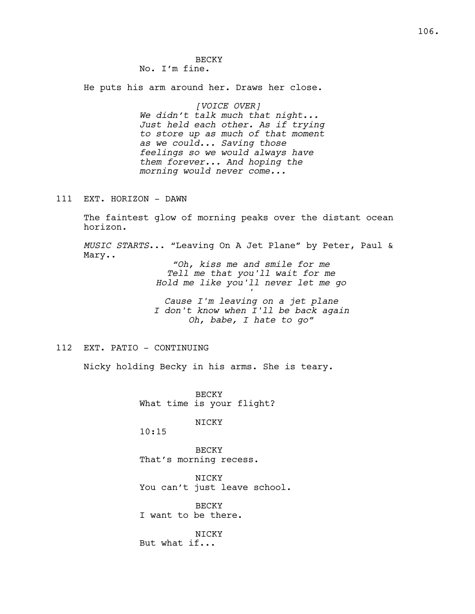BECKY No. I'm fine.

He puts his arm around her. Draws her close.

## *[VOICE OVER]*

*We didn't talk much that night... Just held each other. As if trying to store up as much of that moment as we could... Saving those feelings so we would always have them forever... And hoping the morning would never come...*

111 EXT. HORIZON - DAWN

The faintest glow of morning peaks over the distant ocean horizon.

*MUSIC STARTS*... "Leaving On A Jet Plane" by Peter, Paul & Mary..

*"Oh, kiss me and smile for me Tell me that you'll wait for me Hold me like you'll never let me go '*

*Cause I'm leaving on a jet plane I don't know when I'll be back again Oh, babe, I hate to go"*

### 112 EXT. PATIO - CONTINUING

Nicky holding Becky in his arms. She is teary.

BECKY What time is your flight?

NICKY

10:15

BECKY That's morning recess.

NICKY You can't just leave school.

BECKY I want to be there.

NICKY But what if...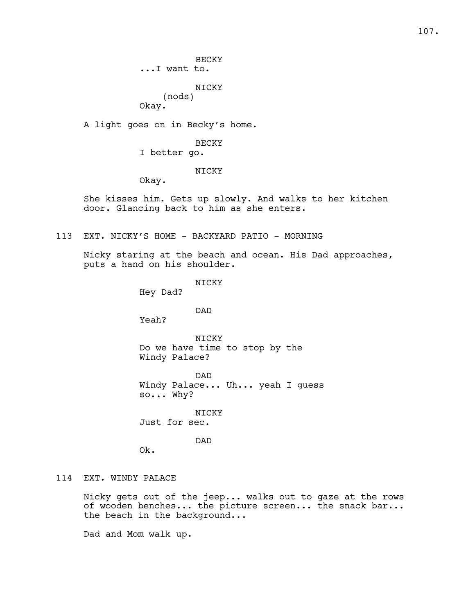BECKY ...I want to.

> NICKY (nods)

Okay.

A light goes on in Becky's home.

BECKY

I better go.

# NICKY

Okay.

She kisses him. Gets up slowly. And walks to her kitchen door. Glancing back to him as she enters.

113 EXT. NICKY'S HOME - BACKYARD PATIO - MORNING

Nicky staring at the beach and ocean. His Dad approaches, puts a hand on his shoulder.

> NICKY Hey Dad?

> > DAD

Yeah?

NICKY Do we have time to stop by the Windy Palace?

DAD Windy Palace... Uh... yeah I guess so... Why?

NICKY Just for sec.

DAD

Ok.

# 114 EXT. WINDY PALACE

Nicky gets out of the jeep... walks out to gaze at the rows of wooden benches... the picture screen... the snack bar... the beach in the background...

Dad and Mom walk up.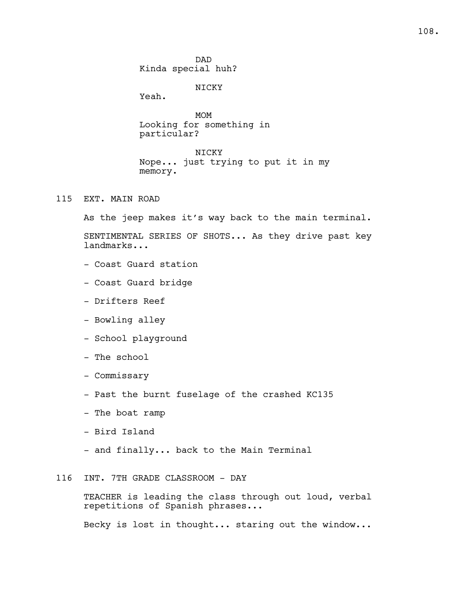DAD Kinda special huh?

NICKY

Yeah.

MOM Looking for something in particular?

NICKY Nope... just trying to put it in my memory.

### 115 EXT. MAIN ROAD

As the jeep makes it's way back to the main terminal.

SENTIMENTAL SERIES OF SHOTS... As they drive past key landmarks...

- Coast Guard station
- Coast Guard bridge
- Drifters Reef
- Bowling alley
- School playground
- The school
- Commissary
- Past the burnt fuselage of the crashed KC135
- The boat ramp
- Bird Island
- and finally... back to the Main Terminal
- 116 INT. 7TH GRADE CLASSROOM DAY

TEACHER is leading the class through out loud, verbal repetitions of Spanish phrases...

Becky is lost in thought... staring out the window...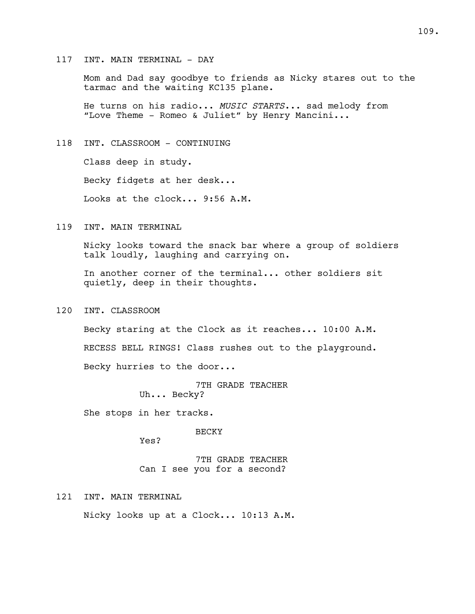#### 117 INT. MAIN TERMINAL - DAY

Mom and Dad say goodbye to friends as Nicky stares out to the tarmac and the waiting KC135 plane.

He turns on his radio... *MUSIC STARTS*... sad melody from "Love Theme - Romeo & Juliet" by Henry Mancini...

### 118 INT. CLASSROOM - CONTINUING

Class deep in study.

Becky fidgets at her desk...

Looks at the clock... 9:56 A.M.

### 119 INT. MAIN TERMINAL

Nicky looks toward the snack bar where a group of soldiers talk loudly, laughing and carrying on.

In another corner of the terminal... other soldiers sit quietly, deep in their thoughts.

#### 120 INT. CLASSROOM

Becky staring at the Clock as it reaches... 10:00 A.M.

RECESS BELL RINGS! Class rushes out to the playground.

Becky hurries to the door...

7TH GRADE TEACHER Uh... Becky?

She stops in her tracks.

#### BECKY

Yes?

7TH GRADE TEACHER Can I see you for a second?

## 121 INT. MAIN TERMINAL

Nicky looks up at a Clock... 10:13 A.M.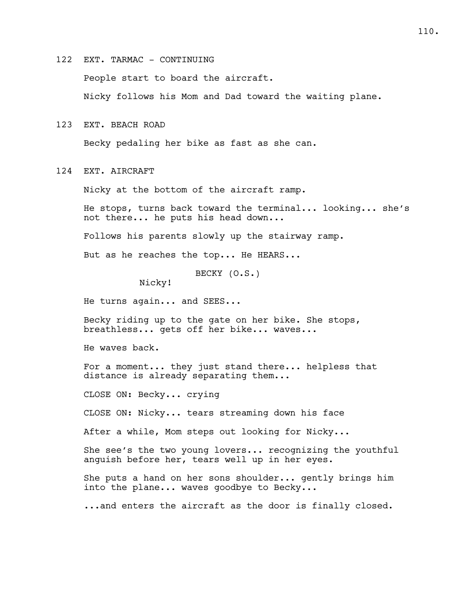#### 122 EXT. TARMAC - CONTINUING

People start to board the aircraft.

Nicky follows his Mom and Dad toward the waiting plane.

123 EXT. BEACH ROAD

Becky pedaling her bike as fast as she can.

124 EXT. AIRCRAFT

Nicky at the bottom of the aircraft ramp.

He stops, turns back toward the terminal... looking... she's not there... he puts his head down...

Follows his parents slowly up the stairway ramp.

But as he reaches the top... He HEARS...

BECKY (O.S.)

Nicky!

He turns again... and SEES...

Becky riding up to the gate on her bike. She stops, breathless... gets off her bike... waves...

He waves back.

For a moment... they just stand there... helpless that distance is already separating them...

CLOSE ON: Becky... crying

CLOSE ON: Nicky... tears streaming down his face

After a while, Mom steps out looking for Nicky...

She see's the two young lovers... recognizing the youthful anguish before her, tears well up in her eyes.

She puts a hand on her sons shoulder... gently brings him into the plane... waves goodbye to Becky...

...and enters the aircraft as the door is finally closed.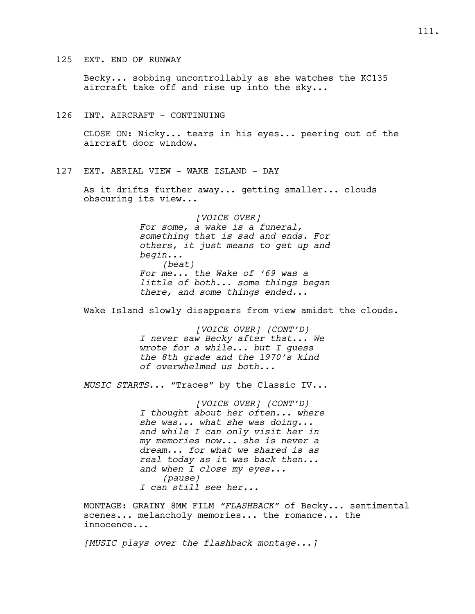#### 125 EXT. END OF RUNWAY

Becky... sobbing uncontrollably as she watches the KC135 aircraft take off and rise up into the sky...

126 INT. AIRCRAFT - CONTINUING

CLOSE ON: Nicky... tears in his eyes... peering out of the aircraft door window.

127 EXT. AERIAL VIEW - WAKE ISLAND - DAY

As it drifts further away... getting smaller... clouds obscuring its view...

> *[VOICE OVER] For some, a wake is a funeral, something that is sad and ends. For others, it just means to get up and begin... (beat) For me... the Wake of '69 was a little of both... some things began there, and some things ended...*

Wake Island slowly disappears from view amidst the clouds.

*[VOICE OVER] (CONT'D) I never saw Becky after that... We wrote for a while... but I guess the 8th grade and the 1970's kind of overwhelmed us both...*

*MUSIC STARTS*... "Traces" by the Classic IV...

*[VOICE OVER] (CONT'D) I thought about her often... where she was... what she was doing... and while I can only visit her in my memories now... she is never a dream... for what we shared is as real today as it was back then... and when I close my eyes... (pause) I can still see her...*

MONTAGE: GRAINY 8MM FILM *"FLASHBACK"* of Becky... sentimental scenes... melancholy memories... the romance... the innocence...

*[MUSIC plays over the flashback montage...]*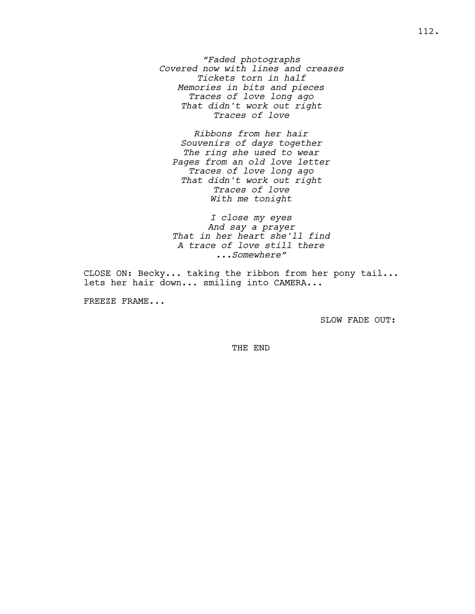*"Faded photographs Covered now with lines and creases Tickets torn in half Memories in bits and pieces Traces of love long ago That didn't work out right Traces of love*

*Ribbons from her hair Souvenirs of days together The ring she used to wear Pages from an old love letter Traces of love long ago That didn't work out right Traces of love With me tonight*

*I close my eyes And say a prayer That in her heart she'll find A trace of love still there ...Somewhere"*

CLOSE ON: Becky... taking the ribbon from her pony tail... lets her hair down... smiling into CAMERA...

FREEZE FRAME...

SLOW FADE OUT:

THE END